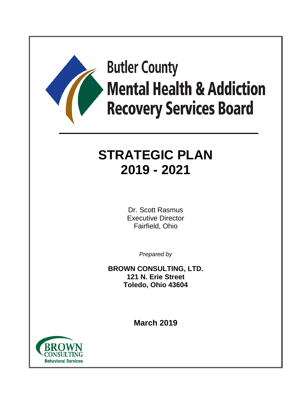

# **Butler County Mental Health & Addiction Recovery Services Board**

# **STRATEGIC PLAN 2019 - 2021**

Dr. Scott Rasmus Executive Director Fairfield, Ohio

*Prepared by*

**BROWN CONSULTING, LTD. 121 N. Erie Street Toledo, Ohio 43604**

**March 2019**

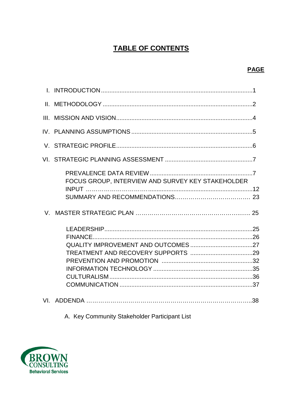# **TABLE OF CONTENTS**

| III. |                                                   |  |
|------|---------------------------------------------------|--|
|      |                                                   |  |
|      |                                                   |  |
|      |                                                   |  |
|      | FOCUS GROUP, INTERVIEW AND SURVEY KEY STAKEHOLDER |  |
|      |                                                   |  |
|      |                                                   |  |
|      |                                                   |  |
|      |                                                   |  |
|      |                                                   |  |
|      |                                                   |  |
|      |                                                   |  |
|      |                                                   |  |
|      |                                                   |  |
|      |                                                   |  |
|      |                                                   |  |

A. Key Community Stakeholder Participant List

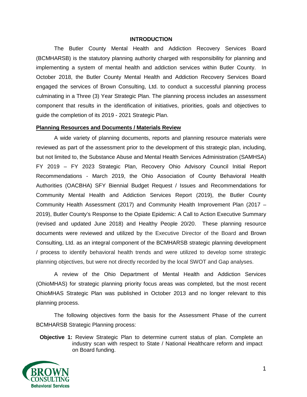#### **INTRODUCTION**

The Butler County Mental Health and Addiction Recovery Services Board (BCMHARSB) is the statutory planning authority charged with responsibility for planning and implementing a system of mental health and addiction services within Butler County. In October 2018, the Butler County Mental Health and Addiction Recovery Services Board engaged the services of Brown Consulting, Ltd. to conduct a successful planning process culminating in a Three (3) Year Strategic Plan. The planning process includes an assessment component that results in the identification of initiatives, priorities, goals and objectives to guide the completion of its 2019 - 2021 Strategic Plan.

#### **Planning Resources and Documents / Materials Review**

A wide variety of planning documents, reports and planning resource materials were reviewed as part of the assessment prior to the development of this strategic plan, including, but not limited to, the Substance Abuse and Mental Health Services Administration (SAMHSA) FY 2019 – FY 2023 Strategic Plan, Recovery Ohio Advisory Council Initial Report Recommendations - March 2019, the Ohio Association of County Behavioral Health Authorities (OACBHA) SFY Biennial Budget Request / Issues and Recommendations for Community Mental Health and Addiction Services Report (2019), the Butler County Community Health Assessment (2017) and Community Health Improvement Plan (2017 – 2019), Butler County's Response to the Opiate Epidemic: A Call to Action Executive Summary (revised and updated June 2018) and Healthy People 20/20. These planning resource documents were reviewed and utilized by the Executive Director of the Board and Brown Consulting, Ltd. as an integral component of the BCMHARSB strategic planning development / process to identify behavioral health trends and were utilized to develop some strategic planning objectives, but were not directly recorded by the local SWOT and Gap analyses.

A review of the Ohio Department of Mental Health and Addiction Services (OhioMHAS) for strategic planning priority focus areas was completed, but the most recent OhioMHAS Strategic Plan was published in October 2013 and no longer relevant to this planning process.

The following objectives form the basis for the Assessment Phase of the current BCMHARSB Strategic Planning process:

**Objective 1:** Review Strategic Plan to determine current status of plan. Complete an industry scan with respect to State / National Healthcare reform and impact on Board funding.

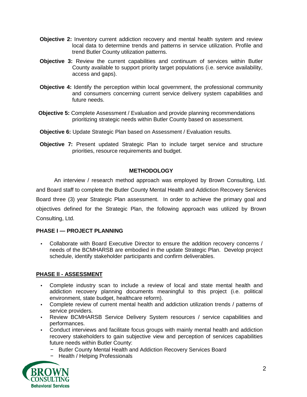- **Objective 2:** Inventory current addiction recovery and mental health system and review local data to determine trends and patterns in service utilization. Profile and trend Butler County utilization patterns.
- **Objective 3:** Review the current capabilities and continuum of services within Butler County available to support priority target populations (i.e. service availability, access and gaps).
- **Objective 4:** Identify the perception within local government, the professional community and consumers concerning current service delivery system capabilities and future needs.
- **Objective 5:** Complete Assessment / Evaluation and provide planning recommendations prioritizing strategic needs within Butler County based on assessment.
- **Objective 6:** Update Strategic Plan based on Assessment / Evaluation results.
- **Objective 7:** Present updated Strategic Plan to include target service and structure priorities, resource requirements and budget.

#### **METHODOLOGY**

An interview / research method approach was employed by Brown Consulting, Ltd. and Board staff to complete the Butler County Mental Health and Addiction Recovery Services Board three (3) year Strategic Plan assessment. In order to achieve the primary goal and objectives defined for the Strategic Plan, the following approach was utilized by Brown Consulting, Ltd.

#### **PHASE I — PROJECT PLANNING**

• Collaborate with Board Executive Director to ensure the addition recovery concerns / needs of the BCMHARSB are embodied in the update Strategic Plan. Develop project schedule, identify stakeholder participants and confirm deliverables.

#### **PHASE ll - ASSESSMENT**

- Complete industry scan to include a review of local and state mental health and addiction recovery planning documents meaningful to this project (i.e. political environment, state budget, healthcare reform).
- Complete review of current mental health and addiction utilization trends / patterns of service providers.
- Review BCMHARSB Service Delivery System resources / service capabilities and performances.
- Conduct interviews and facilitate focus groups with mainly mental health and addiction recovery stakeholders to gain subjective view and perception of services capabilities future needs within Butler County:
	- − Butler County Mental Health and Addiction Recovery Services Board
	- − Health / Helping Professionals

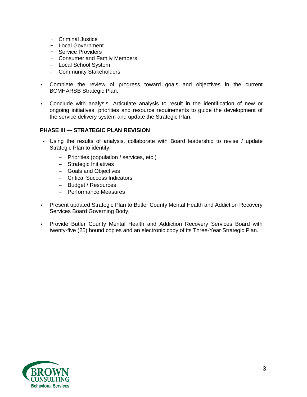- − Criminal Justice
- − Local Government
- − Service Providers
- − Consumer and Family Members
- − Local School System
- − Community Stakeholders
- Complete the review of progress toward goals and objectives in the current BCMHARSB Strategic Plan.
- Conclude with analysis. Articulate analysis to result in the identification of new or ongoing initiatives, priorities and resource requirements to guide the development of the service delivery system and update the Strategic Plan.

#### **PHASE III — STRATEGIC PLAN REVISION**

- Using the results of analysis, collaborate with Board leadership to revise / update Strategic Plan to identify:
	- − Priorities (population / services, etc.)
	- − Strategic Initiatives
	- − Goals and Objectives
	- − Critical Success Indicators
	- − Budget / Resources
	- − Performance Measures
- Present updated Strategic Plan to Butler County Mental Health and Addiction Recovery Services Board Governing Body.
- Provide Butler County Mental Health and Addiction Recovery Services Board with twenty-five (25) bound copies and an electronic copy of its Three-Year Strategic Plan.

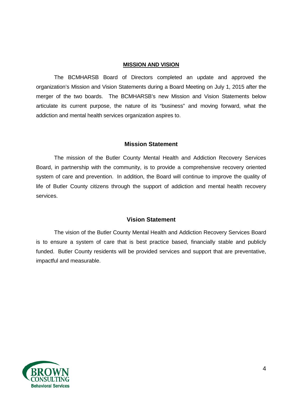#### **MISSION AND VISION**

The BCMHARSB Board of Directors completed an update and approved the organization's Mission and Vision Statements during a Board Meeting on July 1, 2015 after the merger of the two boards. The BCMHARSB's new Mission and Vision Statements below articulate its current purpose, the nature of its "business" and moving forward, what the addiction and mental health services organization aspires to.

#### **Mission Statement**

The mission of the Butler County Mental Health and Addiction Recovery Services Board, in partnership with the community, is to provide a comprehensive recovery oriented system of care and prevention. In addition, the Board will continue to improve the quality of life of Butler County citizens through the support of addiction and mental health recovery services.

#### **Vision Statement**

The vision of the Butler County Mental Health and Addiction Recovery Services Board is to ensure a system of care that is best practice based, financially stable and publicly funded. Butler County residents will be provided services and support that are preventative, impactful and measurable.

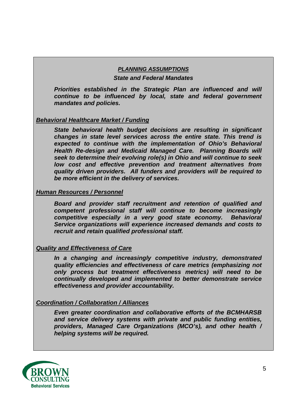#### *PLANNING ASSUMPTIONS*

#### *State and Federal Mandates*

*Priorities established in the Strategic Plan are influenced and will continue to be influenced by local, state and federal government mandates and policies.*

#### *Behavioral Healthcare Market / Funding*

*State behavioral health budget decisions are resulting in significant changes in state level services across the entire state. This trend is expected to continue with the implementation of Ohio's Behavioral Health Re-design and Medicaid Managed Care. Planning Boards will seek to determine their evolving role(s) in Ohio and will continue to seek low cost and effective prevention and treatment alternatives from quality driven providers. All funders and providers will be required to be more efficient in the delivery of services.*

#### *Human Resources / Personnel*

*Board and provider staff recruitment and retention of qualified and competent professional staff will continue to become increasingly competitive especially in a very good state economy. Behavioral Service organizations will experience increased demands and costs to recruit and retain qualified professional staff.*

### *Quality and Effectiveness of Care*

*In a changing and increasingly competitive industry, demonstrated quality efficiencies and effectiveness of care metrics (emphasizing not only process but treatment effectiveness metrics) will need to be continually developed and implemented to better demonstrate service effectiveness and provider accountability.*

#### *Coordination / Collaboration / Alliances*

*Even greater coordination and collaborative efforts of the BCMHARSB and service delivery systems with private and public funding entities, providers, Managed Care Organizations (MCO's), and other health / helping systems will be required.*

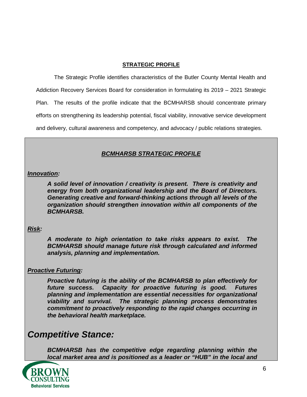#### **STRATEGIC PROFILE**

The Strategic Profile identifies characteristics of the Butler County Mental Health and Addiction Recovery Services Board for consideration in formulating its 2019 – 2021 Strategic Plan. The results of the profile indicate that the BCMHARSB should concentrate primary efforts on strengthening its leadership potential, fiscal viability, innovative service development and delivery, cultural awareness and competency, and advocacy / public relations strategies.

### *BCMHARSB STRATEGIC PROFILE*

#### *Innovation:*

*A solid level of innovation / creativity is present. There is creativity and energy from both organizational leadership and the Board of Directors. Generating creative and forward-thinking actions through all levels of the organization should strengthen innovation within all components of the BCMHARSB.*

#### *Risk:*

*A moderate to high orientation to take risks appears to exist. The BCMHARSB should manage future risk through calculated and informed analysis, planning and implementation.*

#### *Proactive Futuring:*

*Proactive futuring is the ability of the BCMHARSB to plan effectively for future success. Capacity for proactive futuring is good. Futures planning and implementation are essential necessities for organizational viability and survival. The strategic planning process demonstrates commitment to proactively responding to the rapid changes occurring in the behavioral health marketplace.* 

# *Competitive Stance:*

*BCMHARSB has the competitive edge regarding planning within the local market area and is positioned as a leader or "HUB" in the local and* 

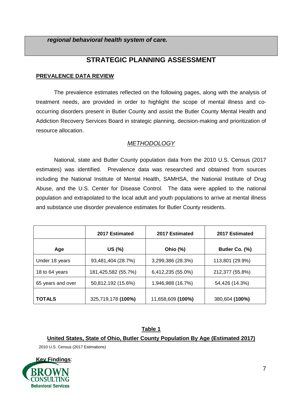*regional behavioral health system of care.*

# **STRATEGIC PLANNING ASSESSMENT**

#### **PREVALENCE DATA REVIEW**

The prevalence estimates reflected on the following pages, along with the analysis of treatment needs, are provided in order to highlight the scope of mental illness and cooccurring disorders present in Butler County and assist the Butler County Mental Health and Addiction Recovery Services Board in strategic planning, decision-making and prioritization of resource allocation.

### *METHODOLOGY*

National, state and Butler County population data from the 2010 U.S. Census (2017 estimates) was identified. Prevalence data was researched and obtained from sources including the National Institute of Mental Health, SAMHSA, the National Institute of Drug Abuse, and the U.S. Center for Disease Control. The data were applied to the national population and extrapolated to the local adult and youth populations to arrive at mental illness and substance use disorder prevalence estimates for Butler County residents.

|                   | 2017 Estimated      | 2017 Estimated    | 2017 Estimated  |
|-------------------|---------------------|-------------------|-----------------|
| Age               | US (%)              | Ohio (%)          | Butler Co. (%)  |
| Under 18 years    | 93,481,404 (28.7%)  | 3,299,386 (28.3%) | 113,801 (29.9%) |
| 18 to 64 years    | 181,425,582 (55.7%) | 6,412,235 (55.0%) | 212,377 (55.8%) |
| 65 years and over | 50,812,192 (15.6%)  | 1,946,988 (16.7%) | 54,426 (14.3%)  |
| <b>TOTALS</b>     | 325,719,178 (100%)  | 11,658,609 (100%) | 380,604 (100%)  |

# **Table 1 United States, State of Ohio, Butler County Population By Age (Estimated 2017)**

2010 U.S. Census (2017 Estimations)

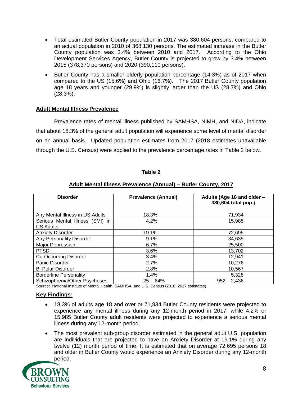- Total estimated Butler County population in 2017 was 380,604 persons, compared to an actual population in 2010 of 368,130 persons. The estimated increase in the Butler County population was 3.4% between 2010 and 2017. According to the Ohio Development Services Agency, Butler County is projected to grow by 3.4% between 2015 (378,370 persons) and 2020 (390,110 persons).
- Butler County has a smaller elderly population percentage (14.3%) as of 2017 when compared to the US (15.6%) and Ohio (16.7%). The 2017 Butler County population age 18 years and younger (29.9%) is slightly larger than the US (28.7%) and Ohio (28.3%).

#### **Adult Mental Illness Prevalence**

Prevalence rates of mental illness published by SAMHSA, NIMH, and NIDA, indicate that about 18.3% of the general adult population will experience some level of mental disorder on an annual basis. Updated population estimates from 2017 (2018 estimates unavailable through the U.S. Census) were applied to the prevalence percentage rates in Table 2 below.

| <b>Disorder</b>                                     | <b>Prevalence (Annual)</b> | Adults (Age 18 and older -<br>380,604 total pop.) |
|-----------------------------------------------------|----------------------------|---------------------------------------------------|
|                                                     |                            |                                                   |
| Any Mental Illness in US Adults                     | 18.3%                      | 71,934                                            |
| Serious Mental Illness (SMI) in<br><b>US Adults</b> | 4.2%                       | 15,985                                            |
| <b>Anxiety Disorder</b>                             | 19.1%                      | 72,695                                            |
| Any Personality Disorder                            | 9.1%                       | 34,635                                            |
| <b>Major Depression</b>                             | 6.7%                       | 25,500                                            |
| <b>PTSD</b>                                         | 3.6%                       | 13,702                                            |
| <b>Co-Occurring Disorder</b>                        | 3.4%                       | 12,941                                            |
| Panic Disorder                                      | 2.7%                       | 10,276                                            |
| <b>Bi-Polar Disorder</b>                            | 2.8%                       | 10,567                                            |
| <b>Borderline Personality</b>                       | 1.4%                       | 5,328                                             |
| Schizophrenia/Other Psychoses                       | $.25 - 64%$                | $952 - 2,436$                                     |

#### **Table 2**

#### **Adult Mental Illness Prevalence (Annual) – Butler County, 2017**

Source: National Institute of Mental Health, SAMHSA, and U.S. Census (2010; 2017 estimates)

- 18.3% of adults age 18 and over or 71,934 Butler County residents were projected to experience any mental illness during any 12-month period in 2017, while 4.2% or 15,985 Butler County adult residents were projected to experience a serious mental illness during any 12-month period.
- The most prevalent sub-group disorder estimated in the general adult U.S. population are individuals that are projected to have an Anxiety Disorder at 19.1% during any twelve (12) month period of time. It is estimated that on average 72,695 persons 18 and older in Butler County would experience an Anxiety Disorder during any 12-month period.

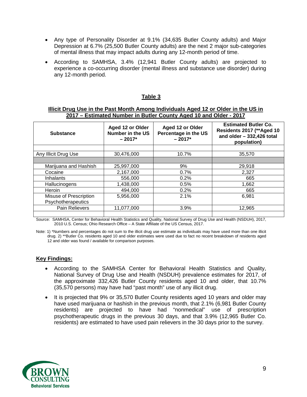- Any type of Personality Disorder at 9.1% (34,635 Butler County adults) and Major Depression at 6.7% (25,500 Butler County adults) are the next 2 major sub-categories of mental illness that may impact adults during any 12-month period of time.
- According to SAMHSA, 3.4% (12,941 Butler County adults) are projected to experience a co-occurring disorder (mental illness and substance use disorder) during any 12-month period.

#### **Table 3**

#### **Illicit Drug Use in the Past Month Among Individuals Aged 12 or Older in the US in 2017 – Estimated Number in Butler County Aged 10 and Older - 2017**

| <b>Substance</b>       | Aged 12 or Older<br>Number in the US<br>$-2017*$ | Aged 12 or Older<br>Percentage in the US<br>$-2017*$ | <b>Estimated Butler Co.</b><br>Residents 2017 (**Aged 10<br>and older $-332,426$ total<br>population) |
|------------------------|--------------------------------------------------|------------------------------------------------------|-------------------------------------------------------------------------------------------------------|
|                        |                                                  |                                                      |                                                                                                       |
| Any Illicit Drug Use   | 30,476,000                                       | 10.7%                                                | 35,570                                                                                                |
|                        |                                                  |                                                      |                                                                                                       |
| Marijuana and Hashish  | 25,997,000                                       | 9%                                                   | 29,918                                                                                                |
| Cocaine                | 2,167,000                                        | 0.7%                                                 | 2,327                                                                                                 |
| <b>Inhalants</b>       | 556,000                                          | 0.2%                                                 | 665                                                                                                   |
| Hallucinogens          | 1,438,000                                        | 0.5%                                                 | 1,662                                                                                                 |
| Heroin                 | 494,000                                          | 0.2%                                                 | 665                                                                                                   |
| Misuse of Prescription | 5,956,000                                        | 2.1%                                                 | 6.981                                                                                                 |
| Psychotherapeutics     |                                                  |                                                      |                                                                                                       |
| Pain Relievers         | 11,077,000                                       | 3.9%                                                 | 12,965                                                                                                |
|                        |                                                  |                                                      |                                                                                                       |

Source: SAMHSA, Center for Behavioral Health Statistics and Quality, National Survey of Drug Use and Health (NSDUH), 2017, 2010 U.S. Census; Ohio Research Office – A State Affiliate of the US Census, 2017.

Note: 1) \*Numbers and percentages do not sum to the illicit drug use estimate as individuals may have used more than one illicit drug. 2) \*\*Butler Co. residents aged 10 and older estimates were used due to fact no recent breakdown of residents aged 12 and older was found / available for comparison purposes.

- According to the SAMHSA Center for Behavioral Health Statistics and Quality, National Survey of Drug Use and Health (NSDUH) prevalence estimates for 2017, of the approximate 332,426 Butler County residents aged 10 and older, that 10.7% (35,570 persons) may have had "past month" use of any illicit drug.
- It is projected that 9% or 35,570 Butler County residents aged 10 years and older may have used marijuana or hashish in the previous month, that 2.1% (6,981 Butler County residents) are projected to have had "nonmedical" use of prescription psychotherapeutic drugs in the previous 30 days, and that 3.9% (12,965 Butler Co. residents) are estimated to have used pain relievers in the 30 days prior to the survey.

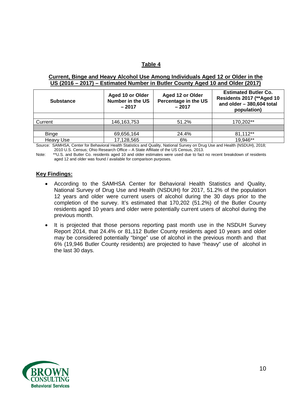#### **Table 4**

#### **Current, Binge and Heavy Alcohol Use Among Individuals Aged 12 or Older in the US (2016 – 2017) – Estimated Number in Butler County Aged 10 and Older (2017)**

| <b>Substance</b> | Aged 10 or Older<br>Number in the US<br>$-2017$ | Aged 12 or Older<br>Percentage in the US<br>$-2017$ | <b>Estimated Butler Co.</b><br>Residents 2017 (** Aged 10<br>and older $-380,604$ total<br>population) |
|------------------|-------------------------------------------------|-----------------------------------------------------|--------------------------------------------------------------------------------------------------------|
|                  |                                                 |                                                     |                                                                                                        |
| Current          | 146, 163, 753                                   | 51.2%                                               | 170,202**                                                                                              |
|                  |                                                 |                                                     |                                                                                                        |
| <b>Binge</b>     | 69,656,164                                      | 24.4%                                               | 81,112**                                                                                               |
| <b>Heavy Use</b> | 17,128,565                                      | 6%                                                  | 19,946**                                                                                               |

Source: SAMHSA, Center for Behavioral Health Statistics and Quality, National Survey on Drug Use and Health (NSDUH), 2018; 2010 U.S. Census; Ohio Research Office – A State Affiliate of the US Census, 2013.

Note: \*\*U.S. and Butler Co. residents aged 10 and older estimates were used due to fact no recent breakdown of residents aged 12 and older was found / available for comparison purposes.

- According to the SAMHSA Center for Behavioral Health Statistics and Quality, National Survey of Drug Use and Health (NSDUH) for 2017, 51.2% of the population 12 years and older were current users of alcohol during the 30 days prior to the completion of the survey. It's estimated that 170,202 (51.2%) of the Butler County residents aged 10 years and older were potentially current users of alcohol during the previous month.
- It is projected that those persons reporting past month use in the NSDUH Survey Report 2014, that 24.4% or 81,112 Butler County residents aged 10 years and older may be considered potentially "binge" use of alcohol in the previous month and that 6% (19,946 Butler County residents) are projected to have "heavy" use of alcohol in the last 30 days.

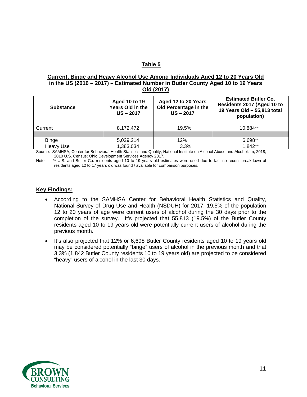#### **Table 5**

#### **Current, Binge and Heavy Alcohol Use Among Individuals Aged 12 to 20 Years Old in the US (2016 – 2017) – Estimated Number in Butler County Aged 10 to 19 Years Old (2017)**

| <b>Substance</b> | <b>Aged 10 to 19</b><br>Years Old in the<br>$US - 2017$ | Aged 12 to 20 Years<br>Old Percentage in the<br>$US - 2017$ | <b>Estimated Butler Co.</b><br>Residents 2017 (Aged 10 to<br>19 Years Old - 55,813 total<br>population) |
|------------------|---------------------------------------------------------|-------------------------------------------------------------|---------------------------------------------------------------------------------------------------------|
|                  |                                                         |                                                             |                                                                                                         |
| Current          | 8.172.472                                               | 19.5%                                                       | 10.884**                                                                                                |
|                  |                                                         |                                                             |                                                                                                         |
| <b>Binge</b>     | 5,029,214                                               | 12%                                                         | 6,698**                                                                                                 |
| Heavy Use        | 1,383,034                                               | 3.3%                                                        | 1.842**                                                                                                 |

Source: SAMHSA, Center for Behavioral Health Statistics and Quality, National Institute on Alcohol Abuse and Alcoholism, 2018; 2010 U.S. Census; Ohio Development Services Agency 2017.

Note: \*\* U.S. and Butler Co. residents aged 10 to 19 years old estimates were used due to fact no recent breakdown of residents aged 12 to 17 years old was found / available for comparison purposes.

- According to the SAMHSA Center for Behavioral Health Statistics and Quality, National Survey of Drug Use and Health (NSDUH) for 2017, 19.5% of the population 12 to 20 years of age were current users of alcohol during the 30 days prior to the completion of the survey. It's projected that 55,813 (19.5%) of the Butler County residents aged 10 to 19 years old were potentially current users of alcohol during the previous month.
- It's also projected that 12% or 6,698 Butler County residents aged 10 to 19 years old may be considered potentially "binge" users of alcohol in the previous month and that 3.3% (1,842 Butler County residents 10 to 19 years old) are projected to be considered "heavy" users of alcohol in the last 30 days.

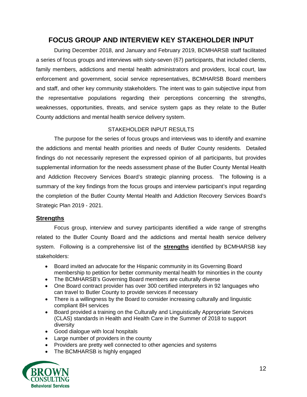## **FOCUS GROUP AND INTERVIEW KEY STAKEHOLDER INPUT**

During December 2018, and January and February 2019, BCMHARSB staff facilitated a series of focus groups and interviews with sixty-seven (67) participants, that included clients, family members, addictions and mental health administrators and providers, local court, law enforcement and government, social service representatives, BCMHARSB Board members and staff, and other key community stakeholders. The intent was to gain subjective input from the representative populations regarding their perceptions concerning the strengths, weaknesses, opportunities, threats, and service system gaps as they relate to the Butler County addictions and mental health service delivery system.

### STAKEHOLDER INPUT RESULTS

The purpose for the series of focus groups and interviews was to identify and examine the addictions and mental health priorities and needs of Butler County residents. Detailed findings do not necessarily represent the expressed opinion of all participants, but provides supplemental information for the needs assessment phase of the Butler County Mental Health and Addiction Recovery Services Board's strategic planning process. The following is a summary of the key findings from the focus groups and interview participant's input regarding the completion of the Butler County Mental Health and Addiction Recovery Services Board's Strategic Plan 2019 - 2021.

### **Strengths**

Focus group, interview and survey participants identified a wide range of strengths related to the Butler County Board and the addictions and mental health service delivery system. Following is a comprehensive list of the **strengths** identified by BCMHARSB key stakeholders:

- Board invited an advocate for the Hispanic community in its Governing Board membership to petition for better community mental health for minorities in the county
- The BCMHARSB's Governing Board members are culturally diverse
- One Board contract provider has over 300 certified interpreters in 92 languages who can travel to Butler County to provide services if necessary
- There is a willingness by the Board to consider increasing culturally and linguistic compliant BH services
- Board provided a training on the Culturally and Linguistically Appropriate Services (CLAS) standards in Health and Health Care in the Summer of 2018 to support diversity
- Good dialogue with local hospitals
- Large number of providers in the county
- Providers are pretty well connected to other agencies and systems
- The BCMHARSB is highly engaged

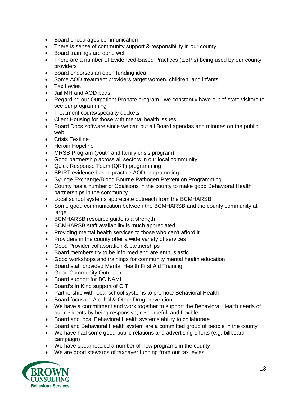- Board encourages communication
- There is sense of community support & responsibility in our county
- Board trainings are done well
- There are a number of Evidenced-Based Practices (EBP's) being used by our county providers
- Board endorses an open funding idea
- Some AOD treatment providers target women, children, and infants
- Tax Levies
- Jail MH and AOD pods
- Regarding our Outpatient Probate program we constantly have out of state visitors to see our programming
- Treatment courts/specialty dockets
- Client Housing for those with mental health issues
- Board Docs software since we can put all Board agendas and minutes on the public web
- Crisis Textline
- Heroin Hopeline
- MRSS Program (youth and family crisis program)
- Good partnership across all sectors in our local community
- Quick Response Team (QRT) programming
- SBIRT evidence based practice AOD programming
- Syringe Exchange/Blood Bourne Pathogen Prevention Programming
- County has a number of Coalitions in the county to make good Behavioral Health partnerships in the community
- Local school systems appreciate outreach from the BCMHARSB
- Some good communication between the BCMHARSB and the county community at large
- BCMHARSB resource guide is a strength
- BCMHARSB staff availability is much appreciated
- Providing mental health services to those who can't afford it
- Providers in the county offer a wide variety of services
- Good Provider collaboration & partnerships
- Board members try to be informed and are enthusiastic
- Good workshops and trainings for community mental health education
- Board staff provided Mental Health First Aid Training
- Good Community Outreach
- Board support for BC NAMI
- Board's In Kind support of CIT
- Partnership with local school systems to promote Behavioral Health
- Board focus on Alcohol & Other Drug prevention
- We have a commitment and work together to support the Behavioral Health needs of our residents by being responsive, resourceful, and flexible
- Board and local Behavioral Health systems ability to collaborate
- Board and Behavioral Health system are a committed group of people in the county
- We have had some good public relations and advertising efforts (e.g. billboard campaign)
- We have spearheaded a number of new programs in the county
- We are good stewards of taxpayer funding from our tax levies

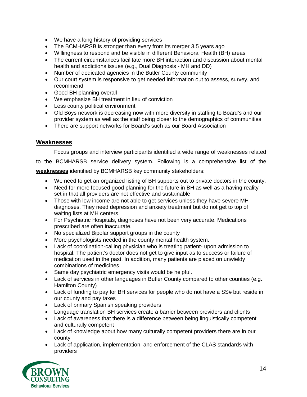- We have a long history of providing services
- The BCMHARSB is stronger than every from its merger 3.5 years ago
- Willingness to respond and be visible in different Behavioral Health (BH) areas
- The current circumstances facilitate more BH interaction and discussion about mental health and addictions issues (e.g., Dual Diagnosis - MH and DD)
- Number of dedicated agencies in the Butler County community
- Our court system is responsive to get needed information out to assess, survey, and recommend
- Good BH planning overall
- We emphasize BH treatment in lieu of conviction
- Less county political environment
- Old Boys network is decreasing now with more diversity in staffing to Board's and our provider system as well as the staff being closer to the demographics of communities
- There are support networks for Board's such as our Board Association

#### **Weaknesses**

Focus groups and interview participants identified a wide range of weaknesses related

to the BCMHARSB service delivery system. Following is a comprehensive list of the

**weaknesses** identified by BCMHARSB key community stakeholders:

- We need to get an organized listing of BH supports out to private doctors in the county.
- Need for more focused good planning for the future in BH as well as a having reality set in that all providers are not effective and sustainable
- Those with low income are not able to get services unless they have severe MH diagnoses. They need depression and anxiety treatment but do not get to top of waiting lists at MH centers.
- For Psychiatric Hospitals, diagnoses have not been very accurate. Medications prescribed are often inaccurate.
- No specialized Bipolar support groups in the county
- More psychologists needed in the county mental health system.
- Lack of coordination-calling physician who is treating patient- upon admission to hospital. The patient's doctor does not get to give input as to success or failure of medication used in the past. In addition, many patients are placed on unwieldy combinations of medicines.
- Same day psychiatric emergency visits would be helpful.
- Lack of services in other languages in Butler County compared to other counties (e.g., Hamilton County)
- Lack of funding to pay for BH services for people who do not have a SS# but reside in our county and pay taxes
- Lack of primary Spanish speaking providers
- Language translation BH services create a barrier between providers and clients
- Lack of awareness that there is a difference between being linguistically competent and culturally competent
- Lack of knowledge about how many culturally competent providers there are in our county
- Lack of application, implementation, and enforcement of the CLAS standards with providers

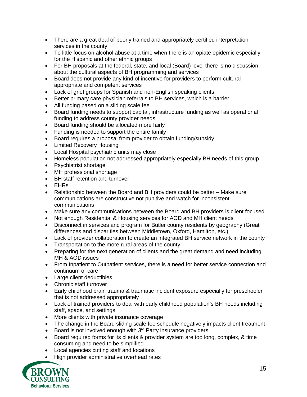- There are a great deal of poorly trained and appropriately certified interpretation services in the county
- To little focus on alcohol abuse at a time when there is an opiate epidemic especially for the Hispanic and other ethnic groups
- For BH proposals at the federal, state, and local (Board) level there is no discussion about the cultural aspects of BH programming and services
- Board does not provide any kind of incentive for providers to perform cultural appropriate and competent services
- Lack of grief groups for Spanish and non-English speaking clients
- Better primary care physician referrals to BH services, which is a barrier
- All funding based on a sliding scale fee
- Board funding needs to support capital, infrastructure funding as well as operational funding to address county provider needs
- Board funding should be allocated more fairly
- Funding is needed to support the entire family
- Board requires a proposal from provider to obtain funding/subsidy
- Limited Recovery Housing
- Local Hospital psychiatric units may close
- Homeless population not addressed appropriately especially BH needs of this group
- Psychiatrist shortage
- MH professional shortage
- BH staff retention and turnover
- EHRs
- Relationship between the Board and BH providers could be better Make sure communications are constructive not punitive and watch for inconsistent communications
- Make sure any communications between the Board and BH providers is client focused
- Not enough Residential & Housing services for AOD and MH client needs
- Disconnect in services and program for Butler county residents by geography (Great differences and disparities between Middletown, Oxford, Hamilton, etc.)
- Lack of provider collaboration to create an integrated BH service network in the county
- Transportation to the more rural areas of the county
- Preparing for the next generation of clients and the great demand and need including MH & AOD issues
- From Inpatient to Outpatient services, there is a need for better service connection and continuum of care
- Large client deductibles
- Chronic staff turnover
- Early childhood brain trauma & traumatic incident exposure especially for preschooler that is not addressed appropriately
- Lack of trained providers to deal with early childhood population's BH needs including staff, space, and settings
- More clients with private insurance coverage
- The change in the Board sliding scale fee schedule negatively impacts client treatment
- Board is not involved enough with  $3<sup>rd</sup>$  Party insurance providers
- Board required forms for its clients & provider system are too long, complex, & time consuming and need to be simplified
- Local agencies cutting staff and locations
- High provider administrative overhead rates

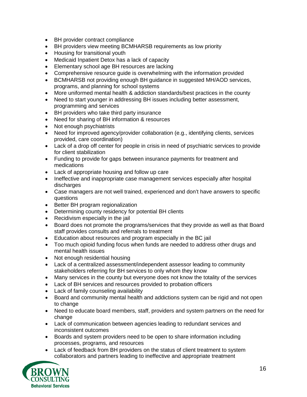- BH provider contract compliance
- BH providers view meeting BCMHARSB requirements as low priority
- Housing for transitional youth
- Medicaid Inpatient Detox has a lack of capacity
- Elementary school age BH resources are lacking
- Comprehensive resource guide is overwhelming with the information provided
- BCMHARSB not providing enough BH guidance in suggested MH/AOD services, programs, and planning for school systems
- More uniformed mental health & addiction standards/best practices in the county
- Need to start younger in addressing BH issues including better assessment, programming and services
- BH providers who take third party insurance
- Need for sharing of BH information & resources
- Not enough psychiatrists
- Need for improved agency/provider collaboration (e.g., identifying clients, services provided, care coordination)
- Lack of a drop off center for people in crisis in need of psychiatric services to provide for client stabilization
- Funding to provide for gaps between insurance payments for treatment and medications
- Lack of appropriate housing and follow up care
- Ineffective and inappropriate case management services especially after hospital discharges
- Case managers are not well trained, experienced and don't have answers to specific questions
- Better BH program regionalization
- Determining county residency for potential BH clients
- Recidivism especially in the jail
- Board does not promote the programs/services that they provide as well as that Board staff provides consults and referrals to treatment
- Education about resources and program especially in the BC jail
- Too much opioid funding focus when funds are needed to address other drugs and mental health issues
- Not enough residential housing
- Lack of a centralized assessment/independent assessor leading to community stakeholders referring for BH services to only whom they know
- Many services in the county but everyone does not know the totality of the services
- Lack of BH services and resources provided to probation officers
- Lack of family counseling availability
- Board and community mental health and addictions system can be rigid and not open to change
- Need to educate board members, staff, providers and system partners on the need for change
- Lack of communication between agencies leading to redundant services and inconsistent outcomes
- Boards and system providers need to be open to share information including processes, programs, and resources
- Lack of feedback from BH providers on the status of client treatment to system collaborators and partners leading to ineffective and appropriate treatment

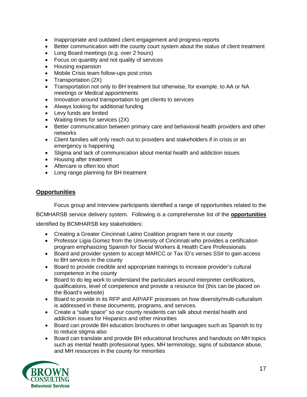- Inappropriate and outdated client engagement and progress reports
- Better communication with the county court system about the status of client treatment
- Long Board meetings (e.g. over 2 hours)
- Focus on quantity and not quality of services
- Housing expansion
- Mobile Crisis team follow-ups post crisis
- Transportation (2X)
- Transportation not only to BH treatment but otherwise, for example, to AA or NA meetings or Medical appointments
- Innovation around transportation to get clients to services
- Always looking for additional funding
- Levy funds are limited
- Waiting times for services (2X)
- Better communication between primary care and behavioral health providers and other networks
- Client families will only reach out to providers and stakeholders if in crisis or an emergency is happening
- Stigma and lack of communication about mental health and addiction issues
- Housing after treatment
- Aftercare is often too short
- Long range planning for BH treatment

#### **Opportunities**

Focus group and interview participants identified a range of opportunities related to the

BCMHARSB service delivery system. Following is a comprehensive list of the **opportunities** identified by BCMHARSB key stakeholders:

- Creating a Greater Cincinnati Latino Coalition program here in our county
- Professor Ligia Gomez from the University of Cincinnati who provides a certification program emphasizing Spanish for Social Workers & Health Care Professionals
- Board and provider system to accept MARCC or Tax ID's verses SS# to gain access to BH services in the county
- Board to provide credible and appropriate trainings to increase provider's cultural competence in the county
- Board to do leg work to understand the particulars around interpreter certifications, qualifications, level of competence and provide a resource list (this can be placed on the Board's website)
- Board to provide in its RFP and AIP/AFF processes on how diversity/multi-culturalism is addressed in these documents, programs, and services.
- Create a "safe space" so our county residents can talk about mental health and addiction issues for Hispanics and other minorities
- Board can provide BH education brochures in other languages such as Spanish to try to reduce stigma also
- Board can translate and provide BH educational brochures and handouts on MH topics such as mental health professional types, MH terminology, signs of substance abuse, and MH resources in the county for minorities

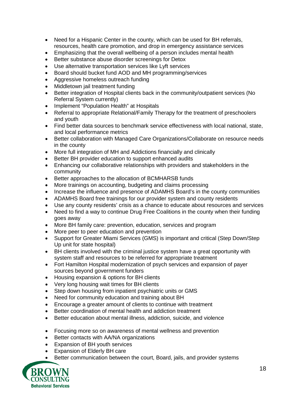- Need for a Hispanic Center in the county, which can be used for BH referrals, resources, health care promotion, and drop in emergency assistance services
- Emphasizing that the overall wellbeing of a person includes mental health
- Better substance abuse disorder screenings for Detox
- Use alternative transportation services like Lyft services
- Board should bucket fund AOD and MH programming/services
- Aggressive homeless outreach funding
- Middletown jail treatment funding
- Better integration of Hospital clients back in the community/outpatient services (No Referral System currently)
- Implement "Population Health" at Hospitals
- Referral to appropriate Relational/Family Therapy for the treatment of preschoolers and youth
- Find better data sources to benchmark service effectiveness with local national, state, and local performance metrics
- Better collaboration with Managed Care Organizations/Collaborate on resource needs in the county
- More full integration of MH and Addictions financially and clinically
- Better BH provider education to support enhanced audits
- Enhancing our collaborative relationships with providers and stakeholders in the community
- Better approaches to the allocation of BCMHARSB funds
- More trainings on accounting, budgeting and claims processing
- Increase the influence and presence of ADAMHS Board's in the county communities
- ADAMHS Board free trainings for our provider system and county residents
- Use any county residents' crisis as a chance to educate about resources and services
- Need to find a way to continue Drug Free Coalitions in the county when their funding goes away
- More BH family care: prevention, education, services and program
- More peer to peer education and prevention
- Support for Greater Miami Services (GMS) is important and critical (Step Down/Step Up unit for state hospital)
- BH clients involved with the criminal justice system have a great opportunity with system staff and resources to be referred for appropriate treatment
- Fort Hamilton Hospital modernization of psych services and expansion of payer sources beyond government funders
- Housing expansion & options for BH clients
- Very long housing wait times for BH clients
- Step down housing from inpatient psychiatric units or GMS
- Need for community education and training about BH
- Encourage a greater amount of clients to continue with treatment
- Better coordination of mental health and addiction treatment
- Better education about mental illness, addiction, suicide, and violence
- Focusing more so on awareness of mental wellness and prevention
- Better contacts with AA/NA organizations
- Expansion of BH youth services
- Expansion of Elderly BH care
- Better communication between the court, Board, jails, and provider systems

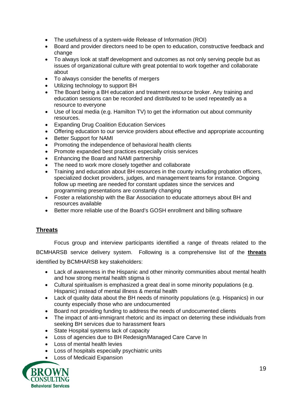- The usefulness of a system-wide Release of Information (ROI)
- Board and provider directors need to be open to education, constructive feedback and change
- To always look at staff development and outcomes as not only serving people but as issues of organizational culture with great potential to work together and collaborate about
- To always consider the benefits of mergers
- Utilizing technology to support BH
- The Board being a BH education and treatment resource broker. Any training and education sessions can be recorded and distributed to be used repeatedly as a resource to everyone
- Use of local media (e.g. Hamilton TV) to get the information out about community resources.
- Expanding Drug Coalition Education Services
- Offering education to our service providers about effective and appropriate accounting
- Better Support for NAMI
- Promoting the independence of behavioral health clients
- Promote expanded best practices especially crisis services
- Enhancing the Board and NAMI partnership
- The need to work more closely together and collaborate
- Training and education about BH resources in the county including probation officers, specialized docket providers, judges, and management teams for instance. Ongoing follow up meeting are needed for constant updates since the services and programming presentations are constantly changing
- Foster a relationship with the Bar Association to educate attorneys about BH and resources available
- Better more reliable use of the Board's GOSH enrollment and billing software

### **Threats**

Focus group and interview participants identified a range of threats related to the BCMHARSB service delivery system. Following is a comprehensive list of the **threats** identified by BCMHARSB key stakeholders:

- Lack of awareness in the Hispanic and other minority communities about mental health and how strong mental health stigma is
- Cultural spiritualism is emphasized a great deal in some minority populations (e.g. Hispanic) instead of mental illness & mental health
- Lack of quality data about the BH needs of minority populations (e.g. Hispanics) in our county especially those who are undocumented
- Board not providing funding to address the needs of undocumented clients
- The impact of anti-immigrant rhetoric and its impact on deterring these individuals from seeking BH services due to harassment fears
- State Hospital systems lack of capacity
- Loss of agencies due to BH Redesign/Managed Care Carve In
- Loss of mental health levies
- Loss of hospitals especially psychiatric units
- Loss of Medicaid Expansion

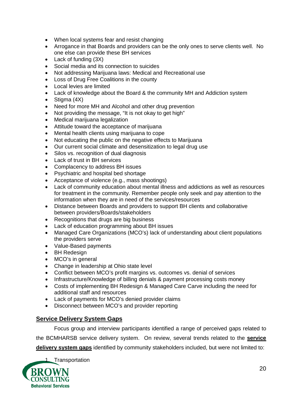- When local systems fear and resist changing
- Arrogance in that Boards and providers can be the only ones to serve clients well. No one else can provide these BH services
- Lack of funding (3X)
- Social media and its connection to suicides
- Not addressing Marijuana laws: Medical and Recreational use
- Loss of Drug Free Coalitions in the county
- Local levies are limited
- Lack of knowledge about the Board & the community MH and Addiction system
- Stigma (4X)
- Need for more MH and Alcohol and other drug prevention
- Not providing the message, "It is not okay to get high"
- Medical marijuana legalization
- Attitude toward the acceptance of marijuana
- Mental health clients using marijuana to cope
- Not educating the public on the negative effects to Marijuana
- Our current social climate and desensitization to legal drug use
- Silos vs. recognition of dual diagnosis
- Lack of trust in BH services
- Complacency to address BH issues
- Psychiatric and hospital bed shortage
- Acceptance of violence (e.g., mass shootings)
- Lack of community education about mental illness and addictions as well as resources for treatment in the community. Remember people only seek and pay attention to the information when they are in need of the services/resources
- Distance between Boards and providers to support BH clients and collaborative between providers/Boards/stakeholders
- Recognitions that drugs are big business
- Lack of education programming about BH issues
- Managed Care Organizations (MCO's) lack of understanding about client populations the providers serve
- Value-Based payments
- BH Redesign
- MCO's in general
- Change in leadership at Ohio state level
- Conflict between MCO's profit margins vs. outcomes vs. denial of services
- Infrastructure/Knowledge of billing denials & payment processing costs money
- Costs of implementing BH Redesign & Managed Care Carve including the need for additional staff and resources
- Lack of payments for MCO's denied provider claims
- Disconnect between MCO's and provider reporting

### **Service Delivery System Gaps**

Focus group and interview participants identified a range of perceived gaps related to the BCMHARSB service delivery system. On review, several trends related to the **service delivery system gaps** identified by community stakeholders included, but were not limited to:

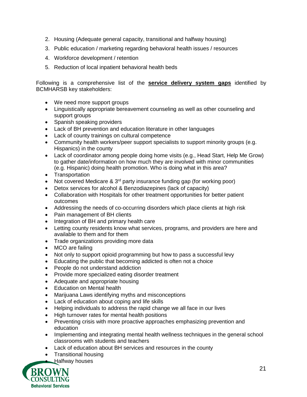- 2. Housing (Adequate general capacity, transitional and halfway housing)
- 3. Public education / marketing regarding behavioral health issues / resources
- 4. Workforce development / retention
- 5. Reduction of local inpatient behavioral health beds

Following is a comprehensive list of the **service delivery system gaps** identified by BCMHARSB key stakeholders:

- We need more support groups
- Linguistically appropriate bereavement counseling as well as other counseling and support groups
- Spanish speaking providers
- Lack of BH prevention and education literature in other languages
- Lack of county trainings on cultural competence
- Community health workers/peer support specialists to support minority groups (e.g. Hispanics) in the county
- Lack of coordinator among people doing home visits (e.g., Head Start, Help Me Grow) to gather date/information on how much they are involved with minor communities (e.g. Hispanic) doing health promotion. Who is doing what in this area?
- Transportation
- Not covered Medicare  $\& 3^{rd}$  party insurance funding gap (for working poor)
- Detox services for alcohol & Benzodiazepines (lack of capacity)
- Collaboration with Hospitals for other treatment opportunities for better patient outcomes
- Addressing the needs of co-occurring disorders which place clients at high risk
- Pain management of BH clients
- Integration of BH and primary health care
- Letting county residents know what services, programs, and providers are here and available to them and for them
- Trade organizations providing more data
- MCO are failing
- Not only to support opioid programming but how to pass a successful levy
- Educating the public that becoming addicted is often not a choice
- People do not understand addiction
- Provide more specialized eating disorder treatment
- Adequate and appropriate housing
- Education on Mental health
- Marijuana Laws identifying myths and misconceptions
- Lack of education about coping and life skills
- Helping individuals to address the rapid change we all face in our lives
- High turnover rates for mental health positions
- Preventing crisis with more proactive approaches emphasizing prevention and education
- Implementing and integrating mental health wellness techniques in the general school classrooms with students and teachers
- Lack of education about BH services and resources in the county
- Transitional housing
- Halfway houses

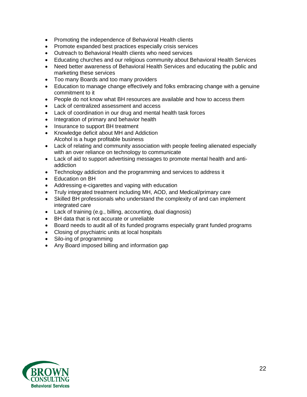- Promoting the independence of Behavioral Health clients
- Promote expanded best practices especially crisis services
- Outreach to Behavioral Health clients who need services
- Educating churches and our religious community about Behavioral Health Services
- Need better awareness of Behavioral Health Services and educating the public and marketing these services
- Too many Boards and too many providers
- Education to manage change effectively and folks embracing change with a genuine commitment to it
- People do not know what BH resources are available and how to access them
- Lack of centralized assessment and access
- Lack of coordination in our drug and mental health task forces
- Integration of primary and behavior health
- Insurance to support BH treatment
- Knowledge deficit about MH and Addiction Alcohol is a huge profitable business
- Lack of relating and community association with people feeling alienated especially with an over reliance on technology to communicate
- Lack of aid to support advertising messages to promote mental health and antiaddiction
- Technology addiction and the programming and services to address it
- Education on BH
- Addressing e-cigarettes and vaping with education
- Truly integrated treatment including MH, AOD, and Medical/primary care
- Skilled BH professionals who understand the complexity of and can implement integrated care
- Lack of training (e.g., billing, accounting, dual diagnosis)
- BH data that is not accurate or unreliable
- Board needs to audit all of its funded programs especially grant funded programs
- Closing of psychiatric units at local hospitals
- Silo-ing of programming
- Any Board imposed billing and information gap

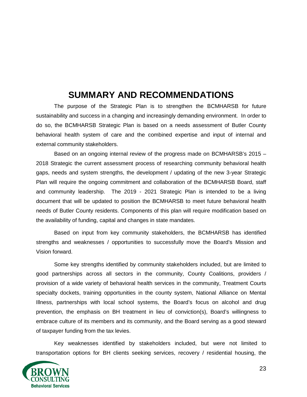# **SUMMARY AND RECOMMENDATIONS**

The purpose of the Strategic Plan is to strengthen the BCMHARSB for future sustainability and success in a changing and increasingly demanding environment. In order to do so, the BCMHARSB Strategic Plan is based on a needs assessment of Butler County behavioral health system of care and the combined expertise and input of internal and external community stakeholders.

Based on an ongoing internal review of the progress made on BCMHARSB's 2015 – 2018 Strategic the current assessment process of researching community behavioral health gaps, needs and system strengths, the development / updating of the new 3-year Strategic Plan will require the ongoing commitment and collaboration of the BCMHARSB Board, staff and community leadership. The 2019 - 2021 Strategic Plan is intended to be a living document that will be updated to position the BCMHARSB to meet future behavioral health needs of Butler County residents. Components of this plan will require modification based on the availability of funding, capital and changes in state mandates.

Based on input from key community stakeholders, the BCMHARSB has identified strengths and weaknesses / opportunities to successfully move the Board's Mission and Vision forward.

Some key strengths identified by community stakeholders included, but are limited to good partnerships across all sectors in the community, County Coalitions, providers / provision of a wide variety of behavioral health services in the community, Treatment Courts specialty dockets, training opportunities in the county system, National Alliance on Mental Illness, partnerships with local school systems, the Board's focus on alcohol and drug prevention, the emphasis on BH treatment in lieu of conviction(s), Board's willingness to embrace culture of its members and its community, and the Board serving as a good steward of taxpayer funding from the tax levies.

Key weaknesses identified by stakeholders included, but were not limited to transportation options for BH clients seeking services, recovery / residential housing, the

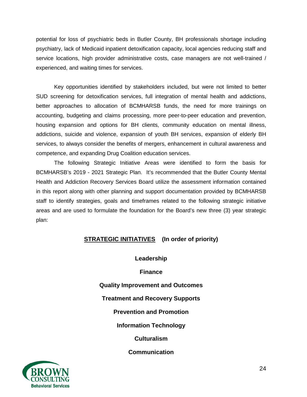potential for loss of psychiatric beds in Butler County, BH professionals shortage including psychiatry, lack of Medicaid inpatient detoxification capacity, local agencies reducing staff and service locations, high provider administrative costs, case managers are not well-trained / experienced, and waiting times for services.

Key opportunities identified by stakeholders included, but were not limited to better SUD screening for detoxification services, full integration of mental health and addictions, better approaches to allocation of BCMHARSB funds, the need for more trainings on accounting, budgeting and claims processing, more peer-to-peer education and prevention, housing expansion and options for BH clients, community education on mental illness, addictions, suicide and violence, expansion of youth BH services, expansion of elderly BH services, to always consider the benefits of mergers, enhancement in cultural awareness and competence, and expanding Drug Coalition education services.

The following Strategic Initiative Areas were identified to form the basis for BCMHARSB's 2019 - 2021 Strategic Plan. It's recommended that the Butler County Mental Health and Addiction Recovery Services Board utilize the assessment information contained in this report along with other planning and support documentation provided by BCMHARSB staff to identify strategies, goals and timeframes related to the following strategic initiative areas and are used to formulate the foundation for the Board's new three (3) year strategic plan:

### **STRATEGIC INITIATIVES (In order of priority)**

**Leadership**

**Finance**

**Quality Improvement and Outcomes**

**Treatment and Recovery Supports**

**Prevention and Promotion**

**Information Technology**

**Culturalism**

**Communication**

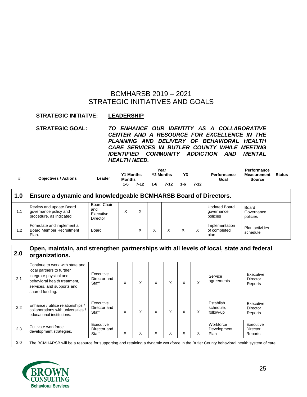## BCMHARSB 2019 – 2021 STRATEGIC INITIATIVES AND GOALS

#### **STRATEGIC INITIATVE: LEADERSHIP**

**STRATEGIC GOAL:** *TO ENHANCE OUR IDENTITY AS A COLLABORATIVE CENTER AND A RESOURCE FOR EXCELLENCE IN THE PLANNING AND DELIVERY OF BEHAVIORAL HEALTH CARE SERVICES IN BUTLER COUNTY WHILE MEETING IDENTIFIED COMMUNITY ADDICTION AND MENTAL HEALTH NEED.*

| # | <b>Objectives / Actions</b> | Leader | <b>Y1 Months</b><br><b>Months</b> |          | Year<br><b>Y2 Months</b> |          | Y3  |          | Performance<br>Goal | Performance<br><b>Measurement</b><br>Source | <b>Status</b> |
|---|-----------------------------|--------|-----------------------------------|----------|--------------------------|----------|-----|----------|---------------------|---------------------------------------------|---------------|
|   |                             |        | $1 - 6$                           | $7 - 12$ | 1-6                      | $7 - 12$ | 1-6 | $7 - 12$ |                     |                                             |               |
|   |                             |        |                                   |          |                          |          |     |          |                     |                                             |               |

| 1.0 | Ensure a dynamic and knowledgeable BCMHARSB Board of Directors.              |                                             |  |   |  |  |  |   |                                                |                                    |  |  |
|-----|------------------------------------------------------------------------------|---------------------------------------------|--|---|--|--|--|---|------------------------------------------------|------------------------------------|--|--|
| 1.1 | Review and update Board<br>governance policy and<br>procedure, as indicated. | Board Chair<br>and<br>Executive<br>Director |  | X |  |  |  |   | <b>Updated Board</b><br>qovernance<br>policies | Board<br>Governance<br>policies    |  |  |
| 1.2 | Formulate and implement a<br><b>Board Member Recruitment</b><br>Plan.        | Board                                       |  | X |  |  |  | X | Implementation<br>of completed<br>plan         | <b>Plan activities</b><br>schedule |  |  |

| 2.0 | Open, maintain, and strengthen partnerships with all levels of local, state and federal<br>organizations.                                                               |                                    |   |   |   |   |   |   |                                     |                                         |  |  |
|-----|-------------------------------------------------------------------------------------------------------------------------------------------------------------------------|------------------------------------|---|---|---|---|---|---|-------------------------------------|-----------------------------------------|--|--|
| 2.1 | Continue to work with state and<br>local partners to further<br>integrate physical and<br>behavioral health treatment,<br>services, and supports and<br>shared funding. | Executive<br>Director and<br>Staff | X | X | X | X | X | X | Service<br>agreements               | Executive<br><b>Director</b><br>Reports |  |  |
| 2.2 | Enhance / utilize relationships /<br>collaborations with universities /<br>educational institutions.                                                                    | Executive<br>Director and<br>Staff | X | X | X | X | X | X | Establish<br>schedule.<br>follow-up | Executive<br>Director<br>Reports        |  |  |
| 2.3 | Cultivate workforce<br>development strategies.                                                                                                                          | Executive<br>Director and<br>Staff | X | X | X | X | X | X | Workforce<br>Development<br>Plan    | Executive<br><b>Director</b><br>Reports |  |  |
| 3.0 | The BCMHARSB will be a resource for supporting and retaining a dynamic workforce in the Butler County behavioral health system of care.                                 |                                    |   |   |   |   |   |   |                                     |                                         |  |  |

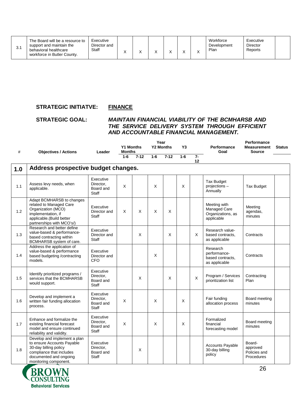| J.I | The Board will be a resource to<br>support and maintain the<br>behavioral healthcare<br>workforce in Butler County. | Executive<br>Director and<br>Staff |  |  |  |  |  | ↗ | Workforce<br>Development<br>Plan | Executive<br>Director<br>Reports |  |
|-----|---------------------------------------------------------------------------------------------------------------------|------------------------------------|--|--|--|--|--|---|----------------------------------|----------------------------------|--|
|-----|---------------------------------------------------------------------------------------------------------------------|------------------------------------|--|--|--|--|--|---|----------------------------------|----------------------------------|--|

#### **STRATEGIC INITIATVE: FINANCE**

#### **STRATEGIC GOAL:** *MAINTAIN FINANCIAL VIABILITY OF THE BCMHARSB AND THE SERVICE DELIVERY SYSTEM THROUGH EFFICIENT AND ACCOUNTABLE FINANCIAL MANAGEMENT.*

| #   | <b>Objectives / Actions</b>                                                                                                                                        | Leader                                              | <b>Y1 Months</b><br><b>Months</b> |          | Year<br><b>Y2 Months</b> |          | Y3    |            | <b>Performance</b><br>Goal                                      | Performance<br><b>Measurement</b><br><b>Source</b> | <b>Status</b> |
|-----|--------------------------------------------------------------------------------------------------------------------------------------------------------------------|-----------------------------------------------------|-----------------------------------|----------|--------------------------|----------|-------|------------|-----------------------------------------------------------------|----------------------------------------------------|---------------|
|     |                                                                                                                                                                    |                                                     | $1 - 6$                           | $7 - 12$ | $1 - 6$                  | $7 - 12$ | $1-6$ | $7-$<br>12 |                                                                 |                                                    |               |
| 1.0 | Address prospective budget changes.                                                                                                                                |                                                     |                                   |          |                          |          |       |            |                                                                 |                                                    |               |
| 1.1 | Assess levy needs, when<br>applicable.                                                                                                                             | Executive<br>Director,<br>Board and<br><b>Staff</b> | X                                 |          | X                        |          | X     |            | <b>Tax Budget</b><br>projections -<br>Annually                  | <b>Tax Budget</b>                                  |               |
| 1.2 | Adapt BCMHARSB to changes<br>related to Managed Care<br>Organization (MCO)<br>implementation, if<br>applicable.(Build better<br>partnerships with MCO's/)          | Executive<br>Director and<br>Staff                  | X                                 | $\times$ | X                        | X        |       |            | Meeting with<br>Managed Care<br>Organizations, as<br>applicable | Meeting<br>agendas,<br>minutes                     |               |
| 1.3 | Research and better define<br>value-based & performance-<br>based contracting within<br>BCMHARSB system of care.                                                   | Executive<br>Director and<br><b>Staff</b>           |                                   | $\times$ |                          | X        |       | X          | Research value-<br>based contracts,<br>as applicable            | Contracts                                          |               |
| 1.4 | Address the application of<br>value-based & performance<br>based budgeting /contracting<br>models.                                                                 | Executive<br>Director and<br><b>CFO</b>             |                                   |          | X                        |          |       |            | Research<br>performance-<br>based contracts.<br>as applicable   | Contracts                                          |               |
| 1.5 | Identify prioritized programs /<br>services that the BCMHARSB<br>would support.                                                                                    | Executive<br>Director.<br>Board and<br><b>Staff</b> |                                   | X        |                          | X        |       | Χ          | Program / Services<br>prioritization list                       | Contracting<br>Plan                                |               |
| 1.6 | Develop and implement a<br>written fair funding allocation<br>process.                                                                                             | Executive<br>Director,<br>Board and<br><b>Staff</b> | X                                 |          | X                        |          | X     |            | Fair funding<br>allocation process                              | Board meeting<br>minutes                           |               |
| 1.7 | Enhance and formalize the<br>existing financial forecast<br>model and ensure continued<br>reliability and validity.                                                | Executive<br>Director.<br>Board and<br><b>Staff</b> | X                                 |          | X                        |          | X     |            | Formalized<br>financial<br>forecasting model                    | Board meeting<br>minutes                           |               |
| 1.8 | Develop and implement a plan<br>to ensure Accounts Payable<br>30-day billing policy<br>compliance that includes<br>documented and ongoing<br>monitoring component. | Executive<br>Director.<br>Board and<br>Staff        |                                   | X        |                          |          |       |            | <b>Accounts Payable</b><br>30-day billing<br>policy             | Board-<br>approved<br>Policies and<br>Procedures   |               |

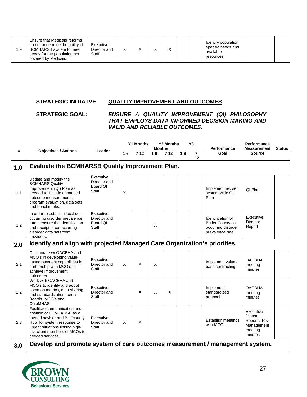| 9. ا | Ensure that Medicaid reforms<br>do not undermine the ability of<br>BCMHARSB system to meet<br>needs for the population not<br>covered by Medicaid. | Executive<br>Director and<br>Staff |  |  |  |  |  |  | Identify population,<br>specific needs and<br>available<br>resources |  |  |
|------|----------------------------------------------------------------------------------------------------------------------------------------------------|------------------------------------|--|--|--|--|--|--|----------------------------------------------------------------------|--|--|
|------|----------------------------------------------------------------------------------------------------------------------------------------------------|------------------------------------|--|--|--|--|--|--|----------------------------------------------------------------------|--|--|

#### **STRATEGIC INITIATVE: QUALITY IMPROVEMENT AND OUTCOMES**

#### **STRATEGIC GOAL:** *ENSURE A QUALITY IMPROVEMENT (QI) PHILOSOPHY THAT EMPLOYS DATA-INFORMED DECISION MAKING AND VALID AND RELIABLE OUTCOMES.*

| #   |                                                                                                                                                                                                                      | Leader                                         | <b>Y2 Months</b><br><b>Y1 Months</b><br><b>Months</b> |          |       | Y <sub>3</sub> | Performance | <b>Performance</b> |                                                                                 |                                                                                                                                                                                                                                                             |  |
|-----|----------------------------------------------------------------------------------------------------------------------------------------------------------------------------------------------------------------------|------------------------------------------------|-------------------------------------------------------|----------|-------|----------------|-------------|--------------------|---------------------------------------------------------------------------------|-------------------------------------------------------------------------------------------------------------------------------------------------------------------------------------------------------------------------------------------------------------|--|
|     | <b>Objectives / Actions</b>                                                                                                                                                                                          |                                                | $1-6$                                                 | $7 - 12$ | $1-6$ | $7 - 12$       | $1-6$       | $7-$<br>12         | Goal                                                                            | <b>Measurement Status</b><br><b>Source</b><br>QI Plan<br>Executive<br>Director<br>Report<br><b>OACBHA</b><br>meeting<br>minutes<br><b>OACBHA</b><br>meeting<br>minutes<br>Executive<br><b>Director</b><br>Reports, Risk<br>Management<br>meeting<br>minutes |  |
| 1.0 | <b>Evaluate the BCMHARSB Quality Improvement Plan.</b>                                                                                                                                                               |                                                |                                                       |          |       |                |             |                    |                                                                                 |                                                                                                                                                                                                                                                             |  |
| 1.1 | Update and modify the<br><b>BCMHARS Quality</b><br>Improvement (QI) Plan as<br>needed to include enhanced<br>outcome measurements.<br>program evaluation, data sets<br>and benchmarks.                               | Executive<br>Director and<br>Board QI<br>Staff | $\times$                                              |          |       |                |             |                    | Implement revised<br>system-wide QI<br>Plan                                     |                                                                                                                                                                                                                                                             |  |
| 1.2 | In order to establish local co-<br>occurring disorder prevalence<br>rates, ensure the identification<br>and receipt of co-occurring<br>disorder data sets from<br>providers.                                         | Executive<br>Director and<br>Board QI<br>Staff |                                                       |          | X     |                |             |                    | Identification of<br>Butler County co-<br>occurring disorder<br>prevalence rate |                                                                                                                                                                                                                                                             |  |
| 2.0 | Identify and align with projected Managed Care Organization's priorities.                                                                                                                                            |                                                |                                                       |          |       |                |             |                    |                                                                                 |                                                                                                                                                                                                                                                             |  |
| 2.1 | Collaborate w/ OACBHA and<br>MCO's in developing value-<br>based payment capabilities in<br>partnership with MCO's to<br>achieve improvement<br>outcomes.                                                            | Executive<br>Director and<br>Staff             | X                                                     | X        | X     |                |             |                    | Implement value-<br>base contracting                                            |                                                                                                                                                                                                                                                             |  |
| 2.2 | Work with OACBHA and<br>MCO's to identify and adopt<br>common metrics, data sharing<br>and standardization across<br>Boards, MCO's and<br>OhioMHAS.                                                                  | Executive<br>Director and<br>Staff             |                                                       | X        | X     | $\times$       |             |                    | Implement<br>standardized<br>protocol                                           |                                                                                                                                                                                                                                                             |  |
| 2.3 | Facilitate communication and<br>position of BCMHARSB as a<br>trusted advisor and BH "county"<br>Hub" for system response to<br>urgent situations linking high-<br>risk client members of MCOs to<br>needed services. | Executive<br>Director and<br>Staff             | X                                                     | X        |       |                |             |                    | Establish meetings<br>with MCO                                                  |                                                                                                                                                                                                                                                             |  |
| 3.0 | Develop and promote system of care outcomes measurement / management system.                                                                                                                                         |                                                |                                                       |          |       |                |             |                    |                                                                                 |                                                                                                                                                                                                                                                             |  |

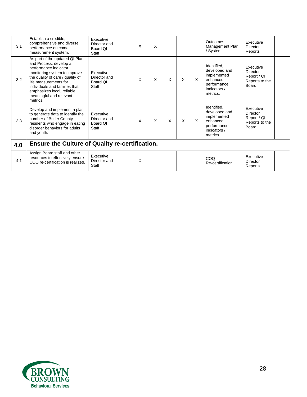| 3.1 | Establish a credible,<br>comprehensive and diverse<br>performance outcome<br>measurement system.                                                                                                                                                                                      | Executive<br>Director and<br>Board OI<br>Staff | X | X |   |   |   | Outcomes<br>Management Plan<br>/ System                                                            | Executive<br>Director<br>Reports                                |  |
|-----|---------------------------------------------------------------------------------------------------------------------------------------------------------------------------------------------------------------------------------------------------------------------------------------|------------------------------------------------|---|---|---|---|---|----------------------------------------------------------------------------------------------------|-----------------------------------------------------------------|--|
| 3.2 | As part of the updated QI Plan<br>and Process, develop a<br>performance indicator<br>monitoring system to improve<br>the quality of care / quality of<br>life measurements for<br>individuals and families that<br>emphasizes local, reliable,<br>meaningful and relevant<br>metrics. | Executive<br>Director and<br>Board OI<br>Staff | X | X | X | X | X | Identified,<br>developed and<br>implemented<br>enhanced<br>performance<br>indicators /<br>metrics. | Executive<br>Director<br>Report / QI<br>Reports to the<br>Board |  |
| 3.3 | Develop and implement a plan<br>to generate data to identify the<br>number of Butler County<br>residents who engage in eating<br>disorder behaviors for adults<br>and youth.                                                                                                          | Executive<br>Director and<br>Board OI<br>Staff | X | X | X | X | X | Identified,<br>developed and<br>implemented<br>enhanced<br>performance<br>indicators /<br>metrics. | Executive<br>Director<br>Report / QI<br>Reports to the<br>Board |  |
| 4.0 | <b>Ensure the Culture of Quality re-certification.</b>                                                                                                                                                                                                                                |                                                |   |   |   |   |   |                                                                                                    |                                                                 |  |
| 4.1 | Assign Board staff and other<br>resources to effectively ensure<br>COQ re-certification is realized.                                                                                                                                                                                  | Executive<br>Director and<br>Staff             | X |   |   |   |   | COQ<br>Re-certification                                                                            | Executive<br>Director<br>Reports                                |  |

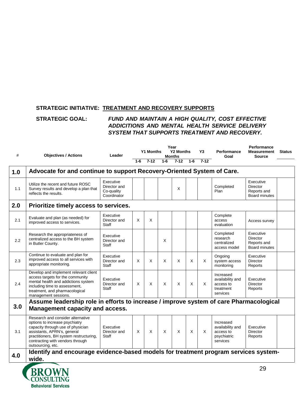#### **STRATEGIC INITIATIVE: TREATMENT AND RECOVERY SUPPORTS**

#### **STRATEGIC GOAL:** *FUND AND MAINTAIN A HIGH QUALITY, COST EFFECTIVE ADDICITIONS AND MENTAL HEALTH SERVICE DELIVERY SYSTEM THAT SUPPORTS TREATMENT AND RECOVERY.*

| #   | <b>Objectives / Actions</b>                                                                                                                                                                                                                 | Leader                                                 |         | <b>Y1 Months</b> |          | Year<br><b>Y2 Months</b><br><b>Months</b> |          | Y3     | <b>Performance</b><br>Goal                                            | Performance<br><b>Measurement</b><br><b>Source</b>                  | <b>Status</b> |
|-----|---------------------------------------------------------------------------------------------------------------------------------------------------------------------------------------------------------------------------------------------|--------------------------------------------------------|---------|------------------|----------|-------------------------------------------|----------|--------|-----------------------------------------------------------------------|---------------------------------------------------------------------|---------------|
|     |                                                                                                                                                                                                                                             |                                                        | $1 - 6$ | $7 - 12$         | $1-6$    | $7 - 12$                                  | $1 - 6$  | $7-12$ |                                                                       |                                                                     |               |
| 1.0 | Advocate for and continue to support Recovery-Oriented System of Care.                                                                                                                                                                      |                                                        |         |                  |          |                                           |          |        |                                                                       |                                                                     |               |
| 1.1 | Utilize the recent and future ROSC<br>Survey results and develop a plan that<br>reflects the results.                                                                                                                                       | Executive<br>Director and<br>Co-quality<br>Coordinator |         |                  |          | X                                         |          |        | Completed<br>Plan                                                     | Executive<br><b>Director</b><br>Reports and<br><b>Board minutes</b> |               |
| 2.0 | Prioritize timely access to services.                                                                                                                                                                                                       |                                                        |         |                  |          |                                           |          |        |                                                                       |                                                                     |               |
| 2.1 | Evaluate and plan (as needed) for<br>improved access to services.                                                                                                                                                                           | Executive<br>Director and<br>Staff                     | X       | X                |          |                                           |          |        | Complete<br>access<br>evaluation                                      | Access survey                                                       |               |
| 2.2 | Research the appropriateness of<br>centralized access to the BH system<br>in Butler County.                                                                                                                                                 | Executive<br>Director and<br>Staff                     |         |                  | X        |                                           |          |        | Completed<br>research<br>centralized<br>access model                  | Executive<br><b>Director</b><br>Reports and<br><b>Board minutes</b> |               |
| 2.3 | Continue to evaluate and plan for<br>improved access to all services with<br>appropriate monitoring.                                                                                                                                        | Executive<br>Director and<br><b>Staff</b>              | X       | X                | X        | $\times$                                  | X        | X      | Ongoing<br>system access<br>monitoring                                | Executive<br><b>Director</b><br>Reports                             |               |
| 2.4 | Develop and implement relevant client<br>access targets for the community<br>mental health and addictions system<br>including time to assessment,<br>treatment, and pharmacological<br>management sessions.                                 | Executive<br>Director and<br>Staff                     | X       | X                | X        | $\boldsymbol{\mathsf{X}}$                 | $\times$ | X      | Increased<br>availability and<br>access to<br>treatment<br>services   | Executive<br><b>Director</b><br>Reports                             |               |
|     | Assume leadership role in efforts to increase / improve system of care Pharmacological                                                                                                                                                      |                                                        |         |                  |          |                                           |          |        |                                                                       |                                                                     |               |
| 3.0 | <b>Management capacity and access.</b>                                                                                                                                                                                                      |                                                        |         |                  |          |                                           |          |        |                                                                       |                                                                     |               |
| 3.1 | Research and consider alternative<br>options to increase psychiatry<br>capacity through use of physician<br>assistants, APRN's, general<br>practitioners, BH system restructuring,<br>contracting with vendors through<br>outsourcing, etc. | Executive<br>Director and<br>Staff                     | X       | X                | $\times$ | $\times$                                  | X        | X      | Increased<br>availability and<br>access to<br>psychiatric<br>services | Executive<br><b>Director</b><br>Reports                             |               |
| 4.0 | Identify and encourage evidence-based models for treatment program services system-                                                                                                                                                         |                                                        |         |                  |          |                                           |          |        |                                                                       |                                                                     |               |
|     | wide.                                                                                                                                                                                                                                       |                                                        |         |                  |          |                                           |          |        |                                                                       | ററ                                                                  |               |

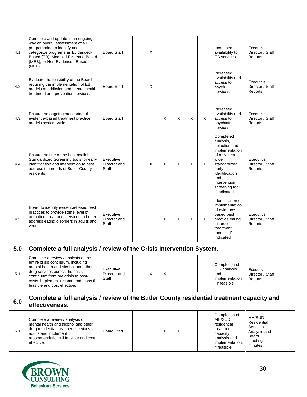| 4.1 | Complete and update in an ongoing<br>way an overall assessment of all<br>programming to identify and<br>categorize programs as Evidenced-<br>Based (EB), Modified Evidence-Based<br>(MEB), or Non-Evidenced-Based<br>(NEB)                                        | <b>Board Staff</b>                        | X        |   |   |          |   | Increased<br>availability to<br><b>EB</b> services                                                                                                                                     | Executive<br>Director / Staff<br>Reports                                         |  |
|-----|-------------------------------------------------------------------------------------------------------------------------------------------------------------------------------------------------------------------------------------------------------------------|-------------------------------------------|----------|---|---|----------|---|----------------------------------------------------------------------------------------------------------------------------------------------------------------------------------------|----------------------------------------------------------------------------------|--|
| 4.2 | Evaluate the feasibility of the Board<br>requiring the implementation of EB<br>models of addiction and mental health<br>treatment and prevention services.                                                                                                        | <b>Board Staff</b>                        | X        |   |   |          |   | Increased<br>availability and<br>access to<br>psych.<br>services.                                                                                                                      | Executive<br>Director / Staff<br>Reports                                         |  |
| 4.3 | Ensure the ongoing monitoring of<br>evidence-based treatment practice<br>models system-wide.                                                                                                                                                                      | <b>Board Staff</b>                        |          | X | X | X        | X | Increased<br>availability and<br>access to<br>psychiatric<br>services                                                                                                                  | Executive<br>Director / Staff<br>Reports                                         |  |
| 4.4 | Ensure the use of the best available<br>Standardized Screening tools for early<br>identification and intervention to best<br>address the needs of Butler County<br>residents.                                                                                     | Executive<br>Director and<br><b>Staff</b> | $\times$ | X | X | $\times$ | X | Completed<br>analysis,<br>selection and<br>implementation<br>of a system-<br>wide<br>standardized<br>early<br>identification<br>and<br>intervention<br>screening tool,<br>if indicated | Executive<br>Director / Staff<br>Reports                                         |  |
| 4.5 | Board to identify evidence-based best<br>practices to provide some level of<br>outpatient treatment services to better<br>address eating disorders in adults and<br>youth.                                                                                        | Executive<br>Director and<br><b>Staff</b> |          | X | X | X        | X | Identification /<br>implementation<br>of evidence-<br>based best<br>practice eating<br>disorder<br>treatment<br>models, if<br>indicated                                                | Executive<br>Director / Staff<br>Reports                                         |  |
| 5.0 | Complete a full analysis / review of the Crisis Intervention System.                                                                                                                                                                                              |                                           |          |   |   |          |   |                                                                                                                                                                                        |                                                                                  |  |
| 5.1 | Complete a review / analysis of the<br>entire crisis continuum, including<br>mental health and alcohol and other<br>drug services across the crisis<br>continuum from pre-crisis to post-<br>crisis. Implement recommendations if<br>feasible and cost effective. | Executive<br>Director and<br>Staff        | X        | X |   |          |   | Completion of a<br>CIS analysis<br>and<br>implementation<br>, if feasible                                                                                                              | Executive<br>Director / Staff<br>Reports                                         |  |
| 6.0 | Complete a full analysis / review of the Butler County residential treatment capacity and<br>effectiveness.                                                                                                                                                       |                                           |          |   |   |          |   |                                                                                                                                                                                        |                                                                                  |  |
| 6.1 | Complete a review / analysis of<br>mental health and alcohol and other<br>drug residential treatment services for<br>adults and implement<br>recommendations if feasible and cost<br>effective.                                                                   | <b>Board Staff</b>                        |          | Χ | X |          |   | Completion of a<br>MH/SUD<br>residential<br>treatment<br>capacity<br>analysis and<br>implementation,<br>if feasible                                                                    | MH/SUD<br>Residential<br>Services<br>Analysis and<br>Board<br>meeting<br>minutes |  |

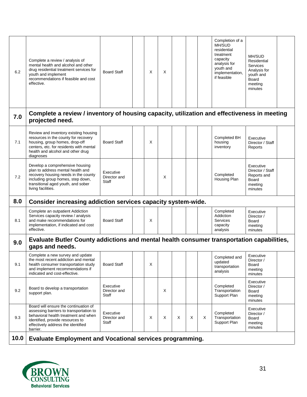| 6.2  | Complete a review / analysis of<br>mental health and alcohol and other<br>drug residential treatment services for<br>youth and implement<br>recommendations if feasible and cost<br>effective.                 | <b>Board Staff</b>                 | X | X |   |          |   | Completion of a<br>MH/SUD<br>residential<br>treatment<br>capacity<br>analysis for<br>youth and<br>implementation,<br>if feasible | MH/SUD<br>Residential<br>Services<br>Analysis for<br>youth and<br><b>Board</b><br>meeting<br>minutes |  |
|------|----------------------------------------------------------------------------------------------------------------------------------------------------------------------------------------------------------------|------------------------------------|---|---|---|----------|---|----------------------------------------------------------------------------------------------------------------------------------|------------------------------------------------------------------------------------------------------|--|
| 7.0  | Complete a review / inventory of housing capacity, utilization and effectiveness in meeting<br>projected need.                                                                                                 |                                    |   |   |   |          |   |                                                                                                                                  |                                                                                                      |  |
| 7.1  | Review and inventory existing housing<br>resources in the county for recovery<br>housing, group homes, drop-off<br>centers, etc. for residents with mental<br>health and alcohol and other drug<br>diagnoses   | <b>Board Staff</b>                 | X |   |   |          |   | Completed BH<br>housing<br>inventory                                                                                             | Executive<br>Director / Staff<br>Reports                                                             |  |
| 7.2  | Develop a comprehensive housing<br>plan to address mental health and<br>recovery housing needs in the county<br>including group homes, step down,<br>transitional aged youth, and sober<br>living facilities.  | Executive<br>Director and<br>Staff |   | X |   |          |   | Completed<br>Housing Plan                                                                                                        | Executive<br>Director / Staff<br>Reports and<br><b>Board</b><br>meeting<br>minutes                   |  |
| 8.0  | Consider increasing addiction services capacity system-wide.                                                                                                                                                   |                                    |   |   |   |          |   |                                                                                                                                  |                                                                                                      |  |
| 8.1  | Complete an outpatient Addiction<br>Services capacity review / analysis<br>and make recommendations for<br>implementation, if indicated and cost<br>effective.                                                 | <b>Board Staff</b>                 | X |   |   |          |   | Completed<br>Addiction<br><b>Services</b><br>capacity<br>analysis                                                                | Executive<br>Director /<br><b>Board</b><br>meeting<br>minutes                                        |  |
| 9.0  | Evaluate Butler County addictions and mental health consumer transportation capabilities,<br>gaps and needs.                                                                                                   |                                    |   |   |   |          |   |                                                                                                                                  |                                                                                                      |  |
| 9.1  | Complete a new survey and update<br>the most recent addiction and mental<br>health consumer transportation study<br>and implement recommendations if<br>indicated and cost-effective.                          | <b>Board Staff</b>                 | X |   |   |          |   | Completed and<br>updated<br>transportation<br>analysis                                                                           | Executive<br>Director /<br>Board<br>meeting<br>minutes                                               |  |
| 9.2  | Board to develop a transportation<br>support plan.                                                                                                                                                             | Executive<br>Director and<br>Staff |   | X |   |          |   | Completed<br>Transportation<br>Support Plan                                                                                      | Executive<br>Director /<br>Board<br>meeting<br>minutes                                               |  |
| 9.3  | Board will ensure the continuation of<br>assessing barriers to transportation to<br>behavioral health treatment and when<br>identified, provide resources to<br>effectively address the identified<br>barrier. | Executive<br>Director and<br>Staff | X | X | X | $\times$ | X | Completed<br>Transportation<br>Support Plan                                                                                      | Executive<br>Director /<br>Board<br>meeting<br>minutes                                               |  |
| 10.0 | <b>Evaluate Employment and Vocational services programming.</b>                                                                                                                                                |                                    |   |   |   |          |   |                                                                                                                                  |                                                                                                      |  |

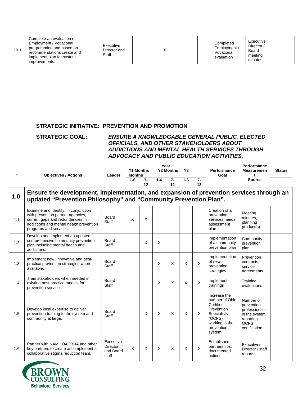| 10.1 | Complete an evaluation of<br>Employment / Vocational<br>programming and based on<br>recommendations create and<br>implement plan for system<br>improvements. | Executive<br>Director and<br>Staff |  |  |  |  |  |  | Completed<br>Employment /<br>Vocational<br>evaluation | Executive<br>Director /<br>Board<br>meeting<br>minutes |  |
|------|--------------------------------------------------------------------------------------------------------------------------------------------------------------|------------------------------------|--|--|--|--|--|--|-------------------------------------------------------|--------------------------------------------------------|--|
|------|--------------------------------------------------------------------------------------------------------------------------------------------------------------|------------------------------------|--|--|--|--|--|--|-------------------------------------------------------|--------------------------------------------------------|--|

#### **STRATEGIC INITIATIVE: PREVENTION AND PROMOTION**

#### **STRATEGIC GOAL:** *ENSURE A KNOWLEDGABLE GENERAL PUBLIC, ELECTED OFFICIALS, AND OTHER STAKEHOLDERS ABOUT ADDICTIONS AND MENTAL HEALTH SERVICES THROUGH ADVOCACY AND PUBLIC EDUCATION ACTIVITIES.*

| #   | <b>Objectives / Actions</b>                                                                                                                                                        | Leader                                             | <b>Months</b> | <b>Y1 Months</b> |          | Year<br><b>Y2 Months</b> | Y3    |            | Performance<br>Goal                                                                                                                 | Performance<br><b>Measuremen</b><br>t                                                                  | <b>Status</b> |
|-----|------------------------------------------------------------------------------------------------------------------------------------------------------------------------------------|----------------------------------------------------|---------------|------------------|----------|--------------------------|-------|------------|-------------------------------------------------------------------------------------------------------------------------------------|--------------------------------------------------------------------------------------------------------|---------------|
|     |                                                                                                                                                                                    |                                                    | $1 - 6$       | 7-<br>12         | $1-6$    | $7-$<br>12               | $1-6$ | $7-$<br>12 |                                                                                                                                     | <b>Source</b>                                                                                          |               |
| 1.0 | Ensure the development, implementation, and expansion of prevention services through an<br>updated "Prevention Philosophy" and "Community Prevention Plan".                        |                                                    |               |                  |          |                          |       |            |                                                                                                                                     |                                                                                                        |               |
| 1.1 | Examine and identify, in conjunction<br>with prevention partner agencies,<br>current gaps and redundancies in<br>addictions and mental health prevention<br>programs and services. | Board<br>Staff                                     | X             | X                |          |                          |       |            | Creation of a<br>prevention<br>services needs<br>assessment<br>plan                                                                 | Meeting<br>minutes.<br>planning<br>product(s)                                                          |               |
| 1.2 | Develop and implement an updated<br>comprehensive community prevention<br>plan including mental health and<br>addictions.                                                          | Board<br>Staff                                     |               | X                | X        |                          |       |            | Implementation<br>of a community<br>prevention plan                                                                                 | Community<br>prevention<br>plan                                                                        |               |
| 1.3 | Implement new, innovative and best-<br>practice prevention strategies where<br>available.                                                                                          | Board<br>Staff                                     |               |                  | X        | X                        | X     | X          | Implementation<br>of new<br>prevention<br>strategies                                                                                | Prevention<br>contracts,<br>service<br>agreements                                                      |               |
| 1.4 | Train stakeholders when needed in<br>existing best practice models for<br>prevention services.                                                                                     | Board<br>Staff                                     |               |                  | X        | X                        | X     | X          | Implement<br>trainings                                                                                                              | Training<br>evaluations                                                                                |               |
| 1.5 | Develop local expertise to deliver<br>prevention training to the system and<br>community at large.                                                                                 | Board<br>Staff                                     |               | $\times$         | $\times$ | X                        | X     | X          | Increase the<br>number of Ohio<br>Certified<br>Prevention<br><b>Specialists</b><br>(OCPS)<br>working in the<br>prevention<br>system | Number of<br>prevention<br>professionals<br>in the system<br>reporting<br><b>OCPS</b><br>certification |               |
| 1.6 | Partner with NAMI, OACBHA and other<br>key partners to create and implement a<br>collaborative stigma reduction team.                                                              | Executive<br><b>Director</b><br>and Board<br>staff | X             | X                | X        | X                        | X     | X          | Established<br>partnerships,<br>documented<br>actions                                                                               | Executives<br>Director / staff<br>reports                                                              |               |
|     |                                                                                                                                                                                    |                                                    |               |                  |          |                          |       |            |                                                                                                                                     |                                                                                                        |               |

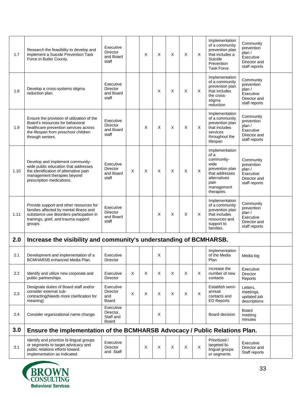| 1.7  | Research the feasibility to develop and<br>implement a Suicide Prevention Task<br>Force in Butler County.                                                                           | Executive<br><b>Director</b><br>and Board<br>staff |   | X | X        | X        | X | X | Implementation<br>of a community<br>prevention plan<br>that includes a<br>Suicide<br>Prevention<br><b>Task Force</b>                  | Community<br>prevention<br>plan /<br>Executive<br>Director and<br>staff reports |  |
|------|-------------------------------------------------------------------------------------------------------------------------------------------------------------------------------------|----------------------------------------------------|---|---|----------|----------|---|---|---------------------------------------------------------------------------------------------------------------------------------------|---------------------------------------------------------------------------------|--|
| 1.8  | Develop a cross-systems stigma<br>reduction plan.                                                                                                                                   | Executive<br>Director<br>and Board<br>staff        |   |   | X        | X        | X | X | Implementation<br>of a community<br>prevention plan<br>that includes<br>the cross-<br>stigma<br>reduction                             | Community<br>prevention<br>plan /<br>Executive<br>Director and<br>staff reports |  |
| 1.9  | Ensure the provision of utilization of the<br>Board's resources for behavioral<br>healthcare prevention services across<br>the lifespan from preschool children<br>through seniors. | Executive<br>Director<br>and Board<br>staff        |   | X | $\times$ | $\times$ | X | X | Implementation<br>of a community<br>prevention plan<br>that includes<br>services<br>throughout the<br>lifespan                        | Community<br>prevention<br>plan/<br>Executive<br>Director and<br>staff reports  |  |
| 1.10 | Develop and implement community-<br>wide public education that addresses<br>the identification of alternative pain<br>management therapies beyond<br>prescription medications.      | Executive<br><b>Director</b><br>and Board<br>staff | X | X | X        | X        | X | X | Implementation<br>of a<br>community-<br>wide<br>prevention plan<br>that addresses<br>alternatives<br>pain<br>management<br>therapies. | Community<br>prevention<br>plan /<br>Executive<br>Director and<br>staff reports |  |
| 1.11 | Provide support and other resources for<br>families affected by mental illness and<br>substance use disorders participation in<br>trainings, grief, and trauma support<br>groups.   | Executive<br><b>Director</b><br>and Board<br>staff |   |   | X        | X        | X | X | Implementation<br>of a community<br>prevention plan<br>that includes<br>resources and<br>support to<br>families.                      | Community<br>prevention<br>plan /<br>Executive<br>Director and<br>staff reports |  |
| 2.0  | Increase the visibility and community's understanding of BCMHARSB.                                                                                                                  |                                                    |   |   |          |          |   |   |                                                                                                                                       |                                                                                 |  |
| 2.1  | Development and implementation of a<br>BCMHARSB enhanced Media Plan.                                                                                                                | Executive<br>Director                              |   |   | X        |          |   |   | Implementation<br>of the Media<br>Plan                                                                                                | Media log                                                                       |  |
| 2.2  | Identify and utilize new corporate and<br>public partnerships.                                                                                                                      | Executive<br>Director                              | X | X | X        | X        | X | X | Increase the<br>number of new<br>contacts                                                                                             | Executive<br><b>Director</b><br>Reports                                         |  |
| 2.3  | Designate duties of Board staff and/or<br>consider external sub-<br>contracting(Needs more clarification for<br>meaning)                                                            | Executive<br>Director<br>and<br>Board              | Χ | Χ | Χ        | Χ        | X | X | Establish semi-<br>annual<br>contacts and<br><b>ED Reports</b>                                                                        | Letters,<br>meetings,<br>updated job<br>descriptions                            |  |
| 2.4  | Consider organizational name change.                                                                                                                                                | Executive<br>Director.<br>Staff and<br>Board       |   |   | X        |          |   |   | Board decision                                                                                                                        | Board<br>meeting<br>minutes                                                     |  |
| 3.0  | Ensure the implementation of the BCMHARSB Advocacy / Public Relations Plan.                                                                                                         |                                                    |   |   |          |          |   |   |                                                                                                                                       |                                                                                 |  |
| 3.1  | Identify and prioritize bi-lingual groups<br>or segments to target advocacy and<br>public relations efforts toward.<br>Implementation as indicated.                                 | Executive<br>Director<br>and Staff                 |   | X | X        | X        | X | X | Prioritized /<br>targeted bi-<br>lingual groups<br>or segments                                                                        | Executive<br>Director and<br>Staff reports                                      |  |

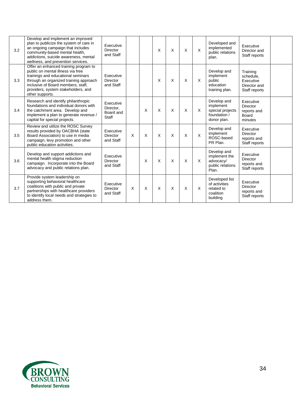| 3.2 | Develop and implement an improved<br>plan to publicize the system of care in<br>an ongoing campaign that includes<br>community-based mental health,<br>addictions, suicide awareness, mental<br>wellness, and prevention services.                         | Executive<br>Director<br>and Staff           |                           |   | X        | X        | X        | X | Developed and<br>implemented<br>public relations<br>plan.                   | Executive<br>Director and<br>Staff reports                          |  |
|-----|------------------------------------------------------------------------------------------------------------------------------------------------------------------------------------------------------------------------------------------------------------|----------------------------------------------|---------------------------|---|----------|----------|----------|---|-----------------------------------------------------------------------------|---------------------------------------------------------------------|--|
| 3.3 | Offer an enhanced training program to<br>public on mental illness via free<br>trainings and educational seminars<br>through an organized training approach<br>inclusive of Board members, staff,<br>providers, system stakeholders, and<br>other supports. | Executive<br>Director<br>and Staff           |                           |   | $\times$ | $\times$ | $\times$ | X | Develop and<br>implement<br>public<br>education<br>training plan.           | Training<br>schedule.<br>Executive<br>Director and<br>Staff reports |  |
| 3.4 | Research and identify philanthropic<br>foundations and individual donors with<br>the catchment area. Develop and<br>implement a plan to generate revenue /<br>capital for special projects.                                                                | Executive<br>Director.<br>Board and<br>Staff |                           | X | $\times$ | $\times$ | X        | X | Develop and<br>implement<br>special projects<br>foundation /<br>donor plan. | Executive<br><b>Director</b><br>reports and<br>Board<br>minutes     |  |
| 3.5 | Review and utilize the ROSC Survey<br>results provided by OACBHA (state<br>Board Association) to use in media<br>campaign, levy promotion and other<br>public education activities.                                                                        | Executive<br><b>Director</b><br>and Staff    | $\boldsymbol{\mathsf{X}}$ | X | $\times$ | $\times$ | $\times$ | X | Develop and<br>implement<br>ROSC-based<br>PR Plan.                          | Executive<br><b>Director</b><br>reports and<br>Staff reports        |  |
| 3.6 | Develop and support addictions and<br>mental health stigma reduction<br>campaign. Incorporate into the Board<br>advocacy and public relations plan.                                                                                                        | Executive<br>Director<br>and Staff           |                           | X | X        | X        | X        | X | Develop and<br>implement the<br>advocacy/<br>public relations<br>Plan.      | Executive<br><b>Director</b><br>reports and<br>Staff reports        |  |
| 3.7 | Provide system leadership on<br>supporting behavioral healthcare<br>coalitions with public and private<br>partnerships with healthcare providers<br>to identify local needs and strategies to<br>address them.                                             | Executive<br><b>Director</b><br>and Staff    | $\times$                  | X | X        | X        | X        | X | Developed list<br>of activities<br>related to<br>coalition<br>building      | Executive<br><b>Director</b><br>reports and<br>Staff reports        |  |

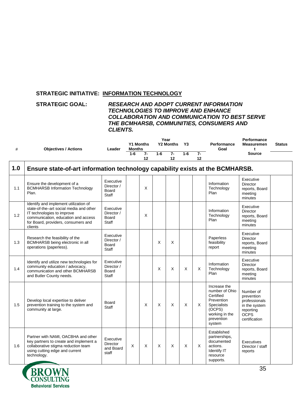#### **STRATEGIC INITIATIVE: INFORMATION TECHNOLOGY**

#### **STRATEGIC GOAL:** *RESEARCH AND ADOPT CURRENT INFORMATION TECHNOLOGIES TO IMPROVE AND ENHANCE COLLABORATION AND COMMUNICATION TO BEST SERVE THE BCMHARSB, COMMUNITIES, CONSUMERS AND CLIENTS.*

| #   | <b>Objectives / Actions</b>                                                                                                                                                                             | Leader                                                  | <b>Y1 Months</b><br><b>Months</b> |            |       | Year<br><b>Y2 Months</b> | Y3    |            | <b>Performance</b><br>Goal                                                                                                          | Performance<br><b>Measuremen</b><br>t                                                                  | <b>Status</b> |
|-----|---------------------------------------------------------------------------------------------------------------------------------------------------------------------------------------------------------|---------------------------------------------------------|-----------------------------------|------------|-------|--------------------------|-------|------------|-------------------------------------------------------------------------------------------------------------------------------------|--------------------------------------------------------------------------------------------------------|---------------|
|     |                                                                                                                                                                                                         |                                                         | $1-6$                             | $7-$<br>12 | $1-6$ | $7-$<br>12               | $1-6$ | $7-$<br>12 |                                                                                                                                     | <b>Source</b>                                                                                          |               |
| 1.0 | Ensure state-of-art information technology capability exists at the BCMHARSB.                                                                                                                           |                                                         |                                   |            |       |                          |       |            |                                                                                                                                     |                                                                                                        |               |
| 1.1 | Ensure the development of a<br><b>BCMHARSB Information Technology</b><br>Plan.                                                                                                                          | Executive<br>Director /<br><b>Board</b><br>Staff        |                                   | X          |       |                          |       |            | Information<br>Technology<br>Plan                                                                                                   | Executive<br><b>Director</b><br>reports, Board<br>meeting<br>minutes                                   |               |
| 1.2 | Identify and implement utilization of<br>state-of-the-art social media and other<br>IT technologies to improve<br>communication, education and access<br>for Board, providers, consumers and<br>clients | Executive<br>Director /<br><b>Board</b><br><b>Staff</b> |                                   | X          |       |                          |       |            | Information<br>Technology<br>Plan                                                                                                   | Executive<br><b>Director</b><br>reports, Board<br>meeting<br>minutes                                   |               |
| 1.3 | Research the feasibility of the<br>BCMHARSB being electronic in all<br>operations (paperless).                                                                                                          | Executive<br>Director /<br>Board<br><b>Staff</b>        |                                   |            | X     | X                        |       |            | Paperless<br>feasibility<br>report                                                                                                  | Executive<br><b>Director</b><br>reports, Board<br>meeting<br>minutes                                   |               |
| 1.4 | Identify and utilize new technologies for<br>community education / advocacy,<br>communication and other BCMHARSB<br>and Butler County needs.                                                            | Executive<br>Director /<br>Board<br>Staff               |                                   |            | X     | X                        | X     | X          | Information<br>Technology<br>Plan                                                                                                   | Executive<br><b>Director</b><br>reports, Board<br>meeting<br>minutes                                   |               |
| 1.5 | Develop local expertise to deliver<br>prevention training to the system and<br>community at large.                                                                                                      | Board<br><b>Staff</b>                                   |                                   | X          | X     | X                        | X     | X          | Increase the<br>number of Ohio<br>Certified<br>Prevention<br><b>Specialists</b><br>(OCPS)<br>working in the<br>prevention<br>system | Number of<br>prevention<br>professionals<br>in the system<br>reporting<br><b>OCPS</b><br>certification |               |
| 1.6 | Partner with NAMI, OACBHA and other<br>key partners to create and implement a<br>collaborative stigma reduction team<br>using cutting edge and current<br>technology.                                   | Executive<br><b>Director</b><br>and Board<br>staff      | X                                 | X          | X     | X                        | X     | X          | Established<br>partnerships,<br>documented<br>actions.<br><b>Identify IT</b><br>resource<br>supports.                               | Executives<br>Director / staff<br>reports                                                              |               |

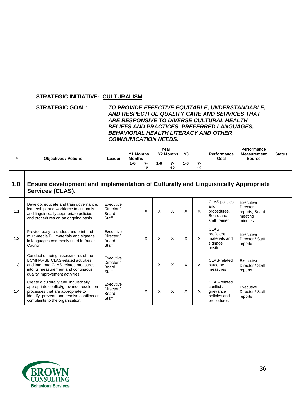#### **STRATEGIC INITIATIVE: CULTURALISM**

#### **STRATEGIC GOAL:** *TO PROVIDE EFFECTIVE EQUITABLE, UNDERSTANDABLE, AND RESPECTFUL QUALITY CARE AND SERVICES THAT ARE RESPONSIVE TO DIVERSE CULTURAL HEALTH BELIEFS AND PRACTICES, PREFERRED LANGUAGES, BEHAVIORAL HEALTH LITERACY AND OTHER COMMUNICATION NEEDS.*

| <b>Objectives / Actions</b> | Leader | <b>Y1 Months</b><br><b>Months</b> |                                | Year | <b>Y2 Months</b> | Y3      |          | Performance<br>Goal | Performance<br><b>Measurement</b><br><b>Source</b> | <b>Status</b> |
|-----------------------------|--------|-----------------------------------|--------------------------------|------|------------------|---------|----------|---------------------|----------------------------------------------------|---------------|
|                             |        | $1 - 6$                           | $\overline{\phantom{a}}$<br>12 | 1-6  |                  | $1 - 6$ | 7-<br>12 |                     |                                                    |               |
|                             |        |                                   |                                |      |                  |         |          |                     |                                                    |               |

| 1.0 | Ensure development and implementation of Culturally and Linguistically Appropriate<br><b>Services (CLAS).</b>                                                                                              |                                                         |   |   |          |          |   |                                                                          |                                                                      |  |
|-----|------------------------------------------------------------------------------------------------------------------------------------------------------------------------------------------------------------|---------------------------------------------------------|---|---|----------|----------|---|--------------------------------------------------------------------------|----------------------------------------------------------------------|--|
| 1.1 | Develop, educate and train governance,<br>leadership, and workforce in culturally<br>and linguistically appropriate policies<br>and procedures on an ongoing basis.                                        | Executive<br>Director /<br>Board<br>Staff               | X | X | X        | $\times$ | X | <b>CLAS</b> policies<br>and<br>procedures,<br>Board and<br>staff trained | Executive<br><b>Director</b><br>reports, Board<br>meeting<br>minutes |  |
| 1.2 | Provide easy-to-understand print and<br>multi-media BH materials and signage<br>in languages commonly used in Butler<br>County.                                                                            | Executive<br>Director /<br>Board<br>Staff               | X | X | $\times$ | $\times$ | X | <b>CLAS</b><br>proficient<br>materials and<br>signage<br>onsite          | Executive<br>Director / Staff<br>reports                             |  |
| 1.3 | Conduct ongoing assessments of the<br><b>BCMHARSB CLAS-related activities</b><br>and integrate CLAS-related measures<br>into its measurement and continuous<br>quality improvement activities.             | Executive<br>Director /<br><b>Board</b><br><b>Staff</b> |   | X | X        | $\times$ | X | CLAS-related<br>outcome<br>measures                                      | Executive<br>Director / Staff<br>reports                             |  |
| 1.4 | Create a culturally and linguistically<br>appropriate conflict/grievance resolution<br>processes that are appropriate to<br>identify, prevent, and resolve conflicts or<br>complaints to the organization. | Executive<br>Director /<br>Board<br><b>Staff</b>        | X | X | X        | X        | X | CLAS-related<br>conflict /<br>grievance<br>policies and<br>procedures    | Executive<br>Director / Staff<br>reports                             |  |

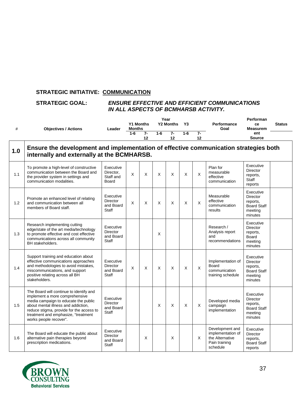### **STRATEGIC INITIATIVE: COMMUNICATION**

#### **STRATEGIC GOAL:** *ENSURE EFFECTIVE AND EFFICIENT COMMUNICATIONS IN ALL ASPECTS OF BCMHARSB ACTIVITY.*

|     |                                                                                                                                                                                                                                                                       |                                                           | Year          |                  |       |                  |         |            | Performan                                                                            |                                                                                      |               |  |
|-----|-----------------------------------------------------------------------------------------------------------------------------------------------------------------------------------------------------------------------------------------------------------------------|-----------------------------------------------------------|---------------|------------------|-------|------------------|---------|------------|--------------------------------------------------------------------------------------|--------------------------------------------------------------------------------------|---------------|--|
| #   | <b>Objectives / Actions</b>                                                                                                                                                                                                                                           | Leader                                                    | <b>Months</b> | <b>Y1 Months</b> |       | <b>Y2 Months</b> | Y3      |            | Performance<br>Goal                                                                  | ce<br><b>Measurem</b>                                                                | <b>Status</b> |  |
|     |                                                                                                                                                                                                                                                                       |                                                           | $1-6$         | 7-<br>12         | $1-6$ | $7-$<br>12       | $1 - 6$ | $7-$<br>12 |                                                                                      | ent<br><b>Source</b>                                                                 |               |  |
| 1.0 | Ensure the development and implementation of effective communication strategies both<br>internally and externally at the BCMHARSB.                                                                                                                                    |                                                           |               |                  |       |                  |         |            |                                                                                      |                                                                                      |               |  |
| 1.1 | To promote a high-level of constructive<br>communication between the Board and<br>the provider system in settings and<br>communication modalities.                                                                                                                    | Executive<br>Director.<br>Staff and<br>Board              | X             | X                | X     | X                | X       | $\times$   | Plan for<br>measurable<br>effective<br>communication                                 | Executive<br><b>Director</b><br>reports,<br>Staff<br>reports                         |               |  |
| 1.2 | Promote an enhanced level of relating<br>and communication between all<br>members of Board staff.                                                                                                                                                                     | Executive<br><b>Director</b><br>and Board<br>Staff        | X             | X                | X     | X                | X       | X          | Measurable<br>effective<br>communication<br>results                                  | Executive<br><b>Director</b><br>reports,<br><b>Board Staff</b><br>meeting<br>minutes |               |  |
| 1.3 | Research implementing cutting<br>edge/state of the art media/technology<br>to promote effective and cost effective<br>communications across all community<br><b>BH</b> stakeholders.                                                                                  | Executive<br><b>Director</b><br>and Board<br>Staff        |               |                  | X     |                  |         |            | Research /<br>Analysis report<br>and<br>recommendations                              | Executive<br><b>Director</b><br>reports,<br>Board<br>meeting<br>minutes              |               |  |
| 1.4 | Support training and education about<br>effective communications approaches<br>and methodologies to avoid mistakes,<br>miscommunications, and support<br>positive relating across all BH<br>stakeholders.                                                             | Executive<br><b>Director</b><br>and Board<br>Staff        | X             | X                | X     | X                | X       | X          | Implementation of<br><b>Board</b><br>communication<br>training schedule              | Executive<br><b>Director</b><br>reports,<br><b>Board Staff</b><br>meeting<br>minutes |               |  |
| 1.5 | The Board will continue to identify and<br>implement a more comprehensive<br>media campaign to educate the public<br>about mental illness and addiction,<br>reduce stigma, provide for the access to<br>treatment and emphasize, "treatment<br>works people recover". | Executive<br><b>Director</b><br>and Board<br>Staff        |               |                  | X     | X                | X       | X          | Developed media<br>campaign<br>implementation                                        | Executive<br><b>Director</b><br>reports,<br><b>Board Staff</b><br>meeting<br>minutes |               |  |
| 1.6 | The Board will educate the public about<br>alternative pain therapies beyond<br>prescription medications.                                                                                                                                                             | Executive<br><b>Director</b><br>and Board<br><b>Staff</b> |               | X                |       | X                |         | X          | Development and<br>implementation of<br>the Alternative<br>Pain training<br>schedule | Executive<br><b>Director</b><br>reports,<br><b>Board Staff</b><br>reports            |               |  |

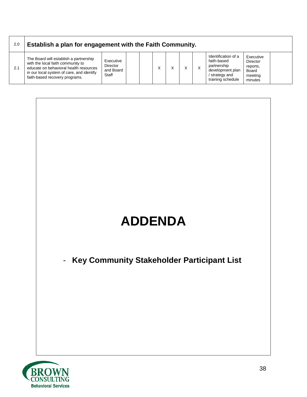| 2.0 | Establish a plan for engagement with the Faith Community.                                                                                                                                            |                                             |  |  |  |  |   |                                                                                                              |                                                                         |  |
|-----|------------------------------------------------------------------------------------------------------------------------------------------------------------------------------------------------------|---------------------------------------------|--|--|--|--|---|--------------------------------------------------------------------------------------------------------------|-------------------------------------------------------------------------|--|
| 2.1 | The Board will establish a partnership<br>with the local faith community to<br>educate on behavioral health resources<br>in our local system of care, and identify<br>faith-based recovery programs. | Executive<br>Director<br>and Board<br>Staff |  |  |  |  | X | Identification of a<br>faith-based<br>partnership<br>development plan<br>/ strategy and<br>training schedule | Executive<br><b>Director</b><br>reports,<br>Board<br>meeting<br>minutes |  |

# **ADDENDA**

- **Key Community Stakeholder Participant List**

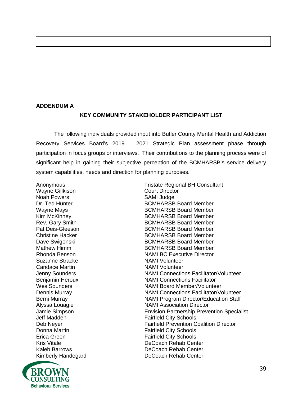#### **ADDENDUM A**

#### **KEY COMMUNITY STAKEHOLDER PARTICIPANT LIST**

The following individuals provided input into Butler County Mental Health and Addiction Recovery Services Board's 2019 – 2021 Strategic Plan assessment phase through participation in focus groups or interviews. Their contributions to the planning process were of significant help in gaining their subjective perception of the BCMHARSB's service delivery system capabilities, needs and direction for planning purposes.

Anonymous **Anonymous** Tristate Regional BH Consultant Wayne Gillkison **Court Director** Noah Powers **SAMI** Judge Suzanne Stracke NAMI Volunteer Candace Martin NAMI Volunteer

Dr. Ted Hunter **BCMHARSB Board Member** BCMHARSB Board Member Wayne Mays **BCMHARSB** Board Member Kim McKinney **BCMHARSB** Board Member Rev. Gary Smith **BCMHARSB Board Member** Pat Deis-Gleeson **BCMHARSB** Board Member Christine Hacker **BCMHARSB** Board Member Dave Swigonski BCMHARSB Board Member<br>Mathew Himm BCMHARSB Board Member **BCMHARSB Board Member** Rhonda Benson NAMI BC Executive Director Jenny Sounders NAMI Connections Facilitator/Volunteer Benjamin Heroux NAMI Connections Facilitator Wes Sounders NAMI Board Member/Volunteer Dennis Murray NAMI Connections Facilitator/Volunteer Berni Murray NAMI Program Director/Education Staff Alyssa Louagie **NAMI Association Director**<br>
Jamie Simpson **NAMI Association Director**<br>
Envision Partnership Preve Jamie Simpson **Envision Partnership Prevention Specialist**<br>Jeff Madden **Envision Cartic City Schools Fairfield City Schools** Deb Neyer Fairfield Prevention Coalition Director Donna Martin **Fairfield City Schools** Erica Green **Fairfield City Schools** Kris Vitale DeCoach Rehab Center Kaleb Barrows **DeCoach Rehab Center** Kimberly Handegard DeCoach Rehab Center